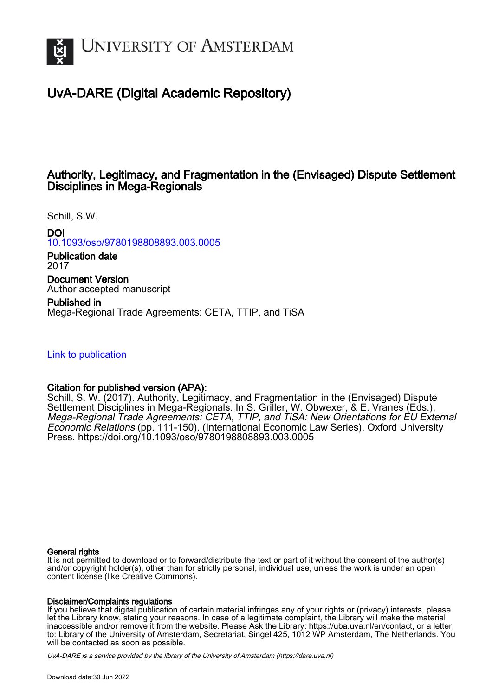

## UvA-DARE (Digital Academic Repository)

### Authority, Legitimacy, and Fragmentation in the (Envisaged) Dispute Settlement Disciplines in Mega-Regionals

Schill, S.W.

DOI [10.1093/oso/9780198808893.003.0005](https://doi.org/10.1093/oso/9780198808893.003.0005)

Publication date 2017

Document Version Author accepted manuscript

Published in Mega-Regional Trade Agreements: CETA, TTIP, and TiSA

[Link to publication](https://dare.uva.nl/personal/pure/en/publications/authority-legitimacy-and-fragmentation-in-the-envisaged-dispute-settlement-disciplines-in-megaregionals(d35dc9a7-2b5f-43c3-b208-5550b704f353).html)

#### Citation for published version (APA):

Schill, S. W. (2017). Authority, Legitimacy, and Fragmentation in the (Envisaged) Dispute Settlement Disciplines in Mega-Regionals. In S. Griller, W. Obwexer, & E. Vranes (Eds.), Mega-Regional Trade Agreements: CETA, TTIP, and TiSA: New Orientations for EU External Economic Relations (pp. 111-150). (International Economic Law Series). Oxford University Press.<https://doi.org/10.1093/oso/9780198808893.003.0005>

#### General rights

It is not permitted to download or to forward/distribute the text or part of it without the consent of the author(s) and/or copyright holder(s), other than for strictly personal, individual use, unless the work is under an open content license (like Creative Commons).

#### Disclaimer/Complaints regulations

If you believe that digital publication of certain material infringes any of your rights or (privacy) interests, please let the Library know, stating your reasons. In case of a legitimate complaint, the Library will make the material inaccessible and/or remove it from the website. Please Ask the Library: https://uba.uva.nl/en/contact, or a letter to: Library of the University of Amsterdam, Secretariat, Singel 425, 1012 WP Amsterdam, The Netherlands. You will be contacted as soon as possible.

UvA-DARE is a service provided by the library of the University of Amsterdam (http*s*://dare.uva.nl)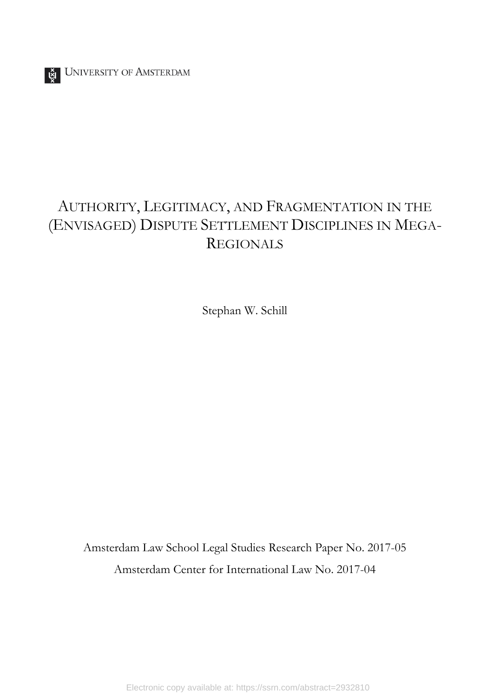# AUTHORITY, LEGITIMACY, AND FRAGMENTATION IN THE (ENVISAGED) DISPUTE SETTLEMENT DISCIPLINES IN MEGA-REGIONALS

Stephan W. Schill

Amsterdam Law School Legal Studies Research Paper No. 2017-05 Amsterdam Center for International Law No. 2017-04

Electronic copy available at: https://ssrn.com/abstract=2932810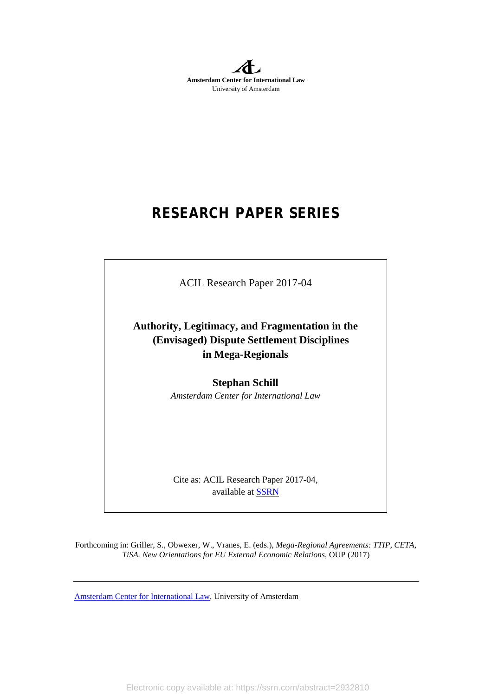**Amsterdam Center for International Law** University of Amsterdam

# **RESEARCH PAPER SERIES**

ACIL Research Paper 2017-04

**Authority, Legitimacy, and Fragmentation in the (Envisaged) Dispute Settlement Disciplines in Mega-Regionals**

> **Stephan Schill** *Amsterdam Center for International Law*

Cite as: ACIL Research Paper 2017-04, available at **SSRN** 

Forthcoming in: Griller, S., Obwexer, W., Vranes, E. (eds.), *Mega-Regional Agreements: TTIP, CETA, TiSA. New Orientations for EU External Economic Relations*, OUP (2017)

[Amsterdam Center for International Law,](http://acil.uva.nl/) University of Amsterdam

Electronic copy available at: https://ssrn.com/abstract=2932810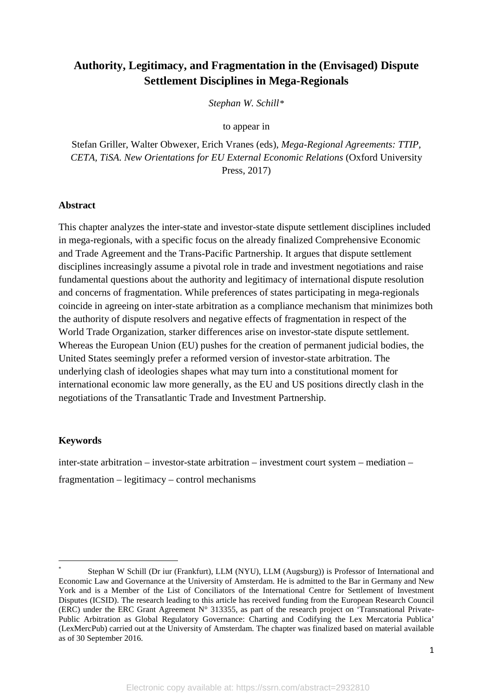## **Authority, Legitimacy, and Fragmentation in the (Envisaged) Dispute Settlement Disciplines in Mega-Regionals**

*Stephan W. Schill[\\*](#page-3-0)*

to appear in

Stefan Griller, Walter Obwexer, Erich Vranes (eds), *Mega-Regional Agreements: TTIP, CETA, TiSA. New Orientations for EU External Economic Relations* (Oxford University Press, 2017)

#### **Abstract**

This chapter analyzes the inter-state and investor-state dispute settlement disciplines included in mega-regionals, with a specific focus on the already finalized Comprehensive Economic and Trade Agreement and the Trans-Pacific Partnership. It argues that dispute settlement disciplines increasingly assume a pivotal role in trade and investment negotiations and raise fundamental questions about the authority and legitimacy of international dispute resolution and concerns of fragmentation. While preferences of states participating in mega-regionals coincide in agreeing on inter-state arbitration as a compliance mechanism that minimizes both the authority of dispute resolvers and negative effects of fragmentation in respect of the World Trade Organization, starker differences arise on investor-state dispute settlement. Whereas the European Union (EU) pushes for the creation of permanent judicial bodies, the United States seemingly prefer a reformed version of investor-state arbitration. The underlying clash of ideologies shapes what may turn into a constitutional moment for international economic law more generally, as the EU and US positions directly clash in the negotiations of the Transatlantic Trade and Investment Partnership.

#### **Keywords**

 $\overline{a}$ 

inter-state arbitration – investor-state arbitration – investment court system – mediation – fragmentation – legitimacy – control mechanisms

<span id="page-3-0"></span>Stephan W Schill (Dr iur (Frankfurt), LLM (NYU), LLM (Augsburg)) is Professor of International and Economic Law and Governance at the University of Amsterdam. He is admitted to the Bar in Germany and New York and is a Member of the List of Conciliators of the International Centre for Settlement of Investment Disputes (ICSID). The research leading to this article has received funding from the European Research Council (ERC) under the ERC Grant Agreement N° 313355, as part of the research project on 'Transnational Private-Public Arbitration as Global Regulatory Governance: Charting and Codifying the Lex Mercatoria Publica' (LexMercPub) carried out at the University of Amsterdam. The chapter was finalized based on material available as of 30 September 2016.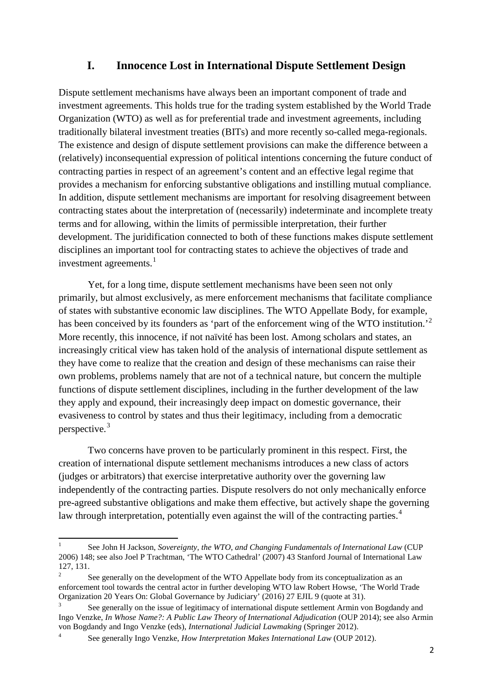#### **I. Innocence Lost in International Dispute Settlement Design**

Dispute settlement mechanisms have always been an important component of trade and investment agreements. This holds true for the trading system established by the World Trade Organization (WTO) as well as for preferential trade and investment agreements, including traditionally bilateral investment treaties (BITs) and more recently so-called mega-regionals. The existence and design of dispute settlement provisions can make the difference between a (relatively) inconsequential expression of political intentions concerning the future conduct of contracting parties in respect of an agreement's content and an effective legal regime that provides a mechanism for enforcing substantive obligations and instilling mutual compliance. In addition, dispute settlement mechanisms are important for resolving disagreement between contracting states about the interpretation of (necessarily) indeterminate and incomplete treaty terms and for allowing, within the limits of permissible interpretation, their further development. The juridification connected to both of these functions makes dispute settlement disciplines an important tool for contracting states to achieve the objectives of trade and investment agreements.<sup>[1](#page-4-0)</sup>

Yet, for a long time, dispute settlement mechanisms have been seen not only primarily, but almost exclusively, as mere enforcement mechanisms that facilitate compliance of states with substantive economic law disciplines. The WTO Appellate Body, for example, has been conceived by its founders as 'part of the enforcement wing of the WTO institution.'<sup>[2](#page-4-1)</sup> More recently, this innocence, if not naïvité has been lost. Among scholars and states, an increasingly critical view has taken hold of the analysis of international dispute settlement as they have come to realize that the creation and design of these mechanisms can raise their own problems, problems namely that are not of a technical nature, but concern the multiple functions of dispute settlement disciplines, including in the further development of the law they apply and expound, their increasingly deep impact on domestic governance, their evasiveness to control by states and thus their legitimacy, including from a democratic perspective. [3](#page-4-2)

<span id="page-4-5"></span>Two concerns have proven to be particularly prominent in this respect. First, the creation of international dispute settlement mechanisms introduces a new class of actors (judges or arbitrators) that exercise interpretative authority over the governing law independently of the contracting parties. Dispute resolvers do not only mechanically enforce pre-agreed substantive obligations and make them effective, but actively shape the governing law through interpretation, potentially even against the will of the contracting parties.<sup>[4](#page-4-3)</sup>

<span id="page-4-4"></span><span id="page-4-0"></span><sup>1</sup> See John H Jackson, *Sovereignty, the WTO, and Changing Fundamentals of International Law* (CUP 2006) 148; see also Joel P Trachtman, 'The WTO Cathedral' (2007) 43 Stanford Journal of International Law 127, 131.

<span id="page-4-1"></span><sup>2</sup> See generally on the development of the WTO Appellate body from its conceptualization as an enforcement tool towards the central actor in further developing WTO law Robert Howse, 'The World Trade Organization 20 Years On: Global Governance by Judiciary' (2016) 27 EJIL 9 (quote at 31).

<span id="page-4-2"></span>See generally on the issue of legitimacy of international dispute settlement Armin von Bogdandy and Ingo Venzke, *In Whose Name?: A Public Law Theory of International Adjudication* (OUP 2014); see also Armin von Bogdandy and Ingo Venzke (eds), *International Judicial Lawmaking* (Springer 2012).<br><sup>4</sup> See generally Ingo Venzke, *How Interpretation Makes International Law* (OUP 2012).

<span id="page-4-3"></span>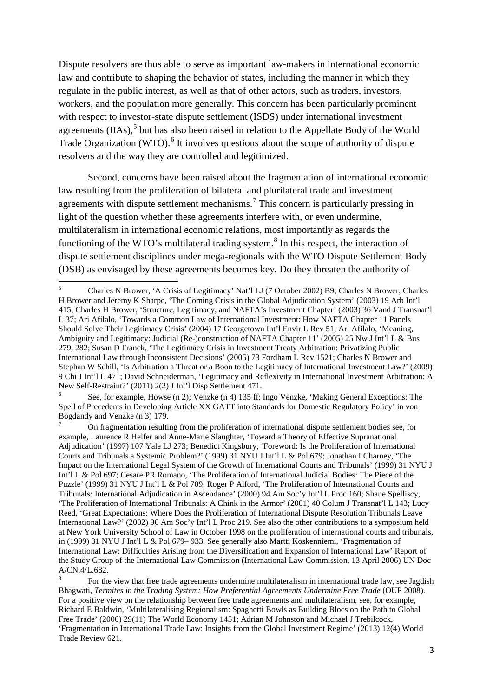Dispute resolvers are thus able to serve as important law-makers in international economic law and contribute to shaping the behavior of states, including the manner in which they regulate in the public interest, as well as that of other actors, such as traders, investors, workers, and the population more generally. This concern has been particularly prominent with respect to investor-state dispute settlement (ISDS) under international investment agreements (IIAs),<sup>[5](#page-5-0)</sup> but has also been raised in relation to the Appellate Body of the World Trade Organization (WTO).<sup>[6](#page-5-1)</sup> It involves questions about the scope of authority of dispute resolvers and the way they are controlled and legitimized.

Second, concerns have been raised about the fragmentation of international economic law resulting from the proliferation of bilateral and plurilateral trade and investment agreements with dispute settlement mechanisms.<sup>[7](#page-5-2)</sup> This concern is particularly pressing in light of the question whether these agreements interfere with, or even undermine, multilateralism in international economic relations, most importantly as regards the functioning of the WTO's multilateral trading system.<sup>[8](#page-5-3)</sup> In this respect, the interaction of dispute settlement disciplines under mega-regionals with the WTO Dispute Settlement Body (DSB) as envisaged by these agreements becomes key. Do they threaten the authority of

<span id="page-5-0"></span><sup>5</sup> Charles N Brower, 'A Crisis of Legitimacy' Nat'l LJ (7 October 2002) B9; Charles N Brower, Charles H Brower and Jeremy K Sharpe, 'The Coming Crisis in the Global Adjudication System' (2003) 19 Arb Int'l 415; Charles H Brower, 'Structure, Legitimacy, and NAFTA's Investment Chapter' (2003) 36 Vand J Transnat'l L 37; Ari Afilalo, 'Towards a Common Law of International Investment: How NAFTA Chapter 11 Panels Should Solve Their Legitimacy Crisis' (2004) 17 Georgetown Int'l Envir L Rev 51; Ari Afilalo, 'Meaning, Ambiguity and Legitimacy: Judicial (Re-)construction of NAFTA Chapter 11' (2005) 25 Nw J Int'l L & Bus 279, 282; Susan D Franck, 'The Legitimacy Crisis in Investment Treaty Arbitration: Privatizing Public International Law through Inconsistent Decisions' (2005) 73 Fordham L Rev 1521; Charles N Brower and Stephan W Schill, 'Is Arbitration a Threat or a Boon to the Legitimacy of International Investment Law?' (2009) 9 Chi J Int'l L 471; David Schneiderman, 'Legitimacy and Reflexivity in International Investment Arbitration: A New Self-Restraint?' (2011) 2(2) J Int'l Disp Settlement 471.

<span id="page-5-1"></span><sup>6</sup> See, for example, Howse (n 2); Venzke (n [4\)](#page-4-4) 135 ff; Ingo Venzke, 'Making General Exceptions: The Spell of Precedents in Developing Article XX GATT into Standards for Domestic Regulatory Policy' in von Bogdandy and Venzke (n [3\)](#page-4-5) 179.

<span id="page-5-2"></span><sup>7</sup> On fragmentation resulting from the proliferation of international dispute settlement bodies see, for example, Laurence R Helfer and Anne-Marie Slaughter, 'Toward a Theory of Effective Supranational Adjudication' (1997) 107 Yale LJ 273; Benedict Kingsbury, 'Foreword: Is the Proliferation of International Courts and Tribunals a Systemic Problem?' (1999) 31 NYU J Int'l L & Pol 679; Jonathan I Charney, 'The Impact on the International Legal System of the Growth of International Courts and Tribunals' (1999) 31 NYU J Int'l L & Pol 697; Cesare PR Romano, 'The Proliferation of International Judicial Bodies: The Piece of the Puzzle' (1999) 31 NYU J Int'l L & Pol 709; Roger P Alford, 'The Proliferation of International Courts and Tribunals: International Adjudication in Ascendance' (2000) 94 Am Soc'y Int'l L Proc 160; Shane Spelliscy, 'The Proliferation of International Tribunals: A Chink in the Armor' (2001) 40 Colum J Transnat'l L 143; Lucy Reed, 'Great Expectations: Where Does the Proliferation of International Dispute Resolution Tribunals Leave International Law?' (2002) 96 Am Soc'y Int'l L Proc 219. See also the other contributions to a symposium held at New York University School of Law in October 1998 on the proliferation of international courts and tribunals, in (1999) 31 NYU J Int'l L & Pol 679– 933. See generally also Martti Koskenniemi, 'Fragmentation of International Law: Difficulties Arising from the Diversification and Expansion of International Law' Report of the Study Group of the International Law Commission (International Law Commission, 13 April 2006) UN Doc A/CN.4/L.682.

<span id="page-5-3"></span><sup>8</sup> For the view that free trade agreements undermine multilateralism in international trade law, see Jagdish Bhagwati, *Termites in the Trading System: How Preferential Agreements Undermine Free Trade* (OUP 2008). For a positive view on the relationship between free trade agreements and multilateralism, see, for example, Richard E Baldwin, 'Multilateralising Regionalism: Spaghetti Bowls as Building Blocs on the Path to Global Free Trade' (2006) 29(11) The World Economy 1451; Adrian M Johnston and Michael J Trebilcock, 'Fragmentation in International Trade Law: Insights from the Global Investment Regime' (2013) 12(4) World Trade Review 621.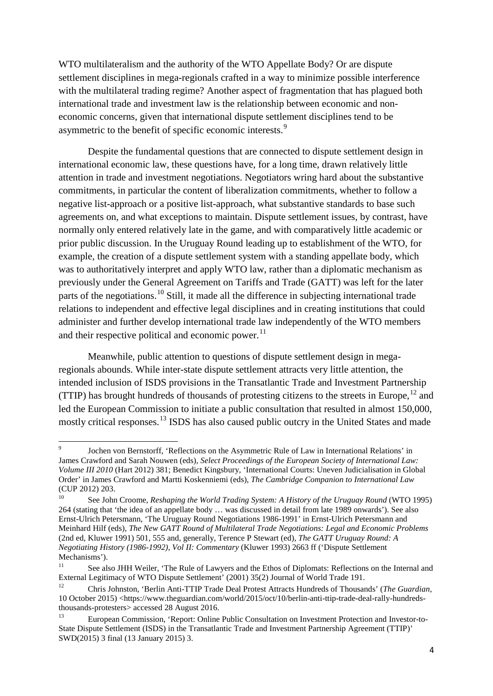WTO multilateralism and the authority of the WTO Appellate Body? Or are dispute settlement disciplines in mega-regionals crafted in a way to minimize possible interference with the multilateral trading regime? Another aspect of fragmentation that has plagued both international trade and investment law is the relationship between economic and noneconomic concerns, given that international dispute settlement disciplines tend to be asymmetric to the benefit of specific economic interests.<sup>[9](#page-6-0)</sup>

Despite the fundamental questions that are connected to dispute settlement design in international economic law, these questions have, for a long time, drawn relatively little attention in trade and investment negotiations. Negotiators wring hard about the substantive commitments, in particular the content of liberalization commitments, whether to follow a negative list-approach or a positive list-approach, what substantive standards to base such agreements on, and what exceptions to maintain. Dispute settlement issues, by contrast, have normally only entered relatively late in the game, and with comparatively little academic or prior public discussion. In the Uruguay Round leading up to establishment of the WTO, for example, the creation of a dispute settlement system with a standing appellate body, which was to authoritatively interpret and apply WTO law, rather than a diplomatic mechanism as previously under the General Agreement on Tariffs and Trade (GATT) was left for the later parts of the negotiations.<sup>[10](#page-6-1)</sup> Still, it made all the difference in subjecting international trade relations to independent and effective legal disciplines and in creating institutions that could administer and further develop international trade law independently of the WTO members and their respective political and economic power. $^{11}$  $^{11}$  $^{11}$ 

Meanwhile, public attention to questions of dispute settlement design in megaregionals abounds. While inter-state dispute settlement attracts very little attention, the intended inclusion of ISDS provisions in the Transatlantic Trade and Investment Partnership (TTIP) has brought hundreds of thousands of protesting citizens to the streets in Europe, <sup>[12](#page-6-3)</sup> and led the European Commission to initiate a public consultation that resulted in almost 150,000, mostly critical responses.<sup>[13](#page-6-4)</sup> ISDS has also caused public outcry in the United States and made

<span id="page-6-0"></span><sup>9</sup> Jochen von Bernstorff, 'Reflections on the Asymmetric Rule of Law in International Relations' in James Crawford and Sarah Nouwen (eds), *Select Proceedings of the European Society of International Law: Volume III 2010* (Hart 2012) 381; Benedict Kingsbury, 'International Courts: Uneven Judicialisation in Global Order' in James Crawford and Martti Koskenniemi (eds), *The Cambridge Companion to International Law* (CUP 2012) 203.

<span id="page-6-1"></span><sup>10</sup> See John Croome, *Reshaping the World Trading System: A History of the Uruguay Round* (WTO 1995) 264 (stating that 'the idea of an appellate body … was discussed in detail from late 1989 onwards'). See also Ernst-Ulrich Petersmann, 'The Uruguay Round Negotiations 1986-1991' in Ernst-Ulrich Petersmann and Meinhard Hilf (eds), *The New GATT Round of Multilateral Trade Negotiations: Legal and Economic Problems* (2nd ed, Kluwer 1991) 501, 555 and, generally, Terence P Stewart (ed), *The GATT Uruguay Round: A Negotiating History (1986-1992), Vol II: Commentary* (Kluwer 1993) 2663 ff ('Dispute Settlement Mechanisms').

<span id="page-6-2"></span>See also JHH Weiler, 'The Rule of Lawyers and the Ethos of Diplomats: Reflections on the Internal and External Legitimacy of WTO Dispute Settlement' (2001) 35(2) Journal of World Trade 191.

<span id="page-6-3"></span><sup>12</sup> Chris Johnston, 'Berlin Anti-TTIP Trade Deal Protest Attracts Hundreds of Thousands' (*The Guardian*, 10 October 2015) <https://www.theguardian.com/world/2015/oct/10/berlin-anti-ttip-trade-deal-rally-hundredsthousands-protesters> accessed 28 August 2016.

<span id="page-6-4"></span><sup>13</sup> European Commission, 'Report: Online Public Consultation on Investment Protection and Investor-to-State Dispute Settlement (ISDS) in the Transatlantic Trade and Investment Partnership Agreement (TTIP)' SWD(2015) 3 final (13 January 2015) 3.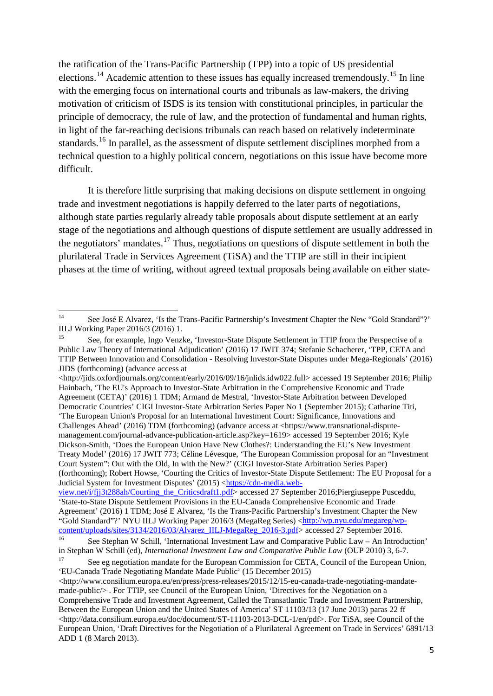the ratification of the Trans-Pacific Partnership (TPP) into a topic of US presidential elections.<sup>[14](#page-7-0)</sup> Academic attention to these issues has equally increased tremendously.<sup>[15](#page-7-1)</sup> In line with the emerging focus on international courts and tribunals as law-makers, the driving motivation of criticism of ISDS is its tension with constitutional principles, in particular the principle of democracy, the rule of law, and the protection of fundamental and human rights, in light of the far-reaching decisions tribunals can reach based on relatively indeterminate standards.<sup>[16](#page-7-2)</sup> In parallel, as the assessment of dispute settlement disciplines morphed from a technical question to a highly political concern, negotiations on this issue have become more difficult.

It is therefore little surprising that making decisions on dispute settlement in ongoing trade and investment negotiations is happily deferred to the later parts of negotiations, although state parties regularly already table proposals about dispute settlement at an early stage of the negotiations and although questions of dispute settlement are usually addressed in the negotiators' mandates.<sup>[17](#page-7-3)</sup> Thus, negotiations on questions of dispute settlement in both the plurilateral Trade in Services Agreement (TiSA) and the TTIP are still in their incipient phases at the time of writing, without agreed textual proposals being available on either state-

<http://jids.oxfordjournals.org/content/early/2016/09/16/jnlids.idw022.full> accessed 19 September 2016; Philip Hainbach, 'The EU's Approach to Investor-State Arbitration in the Comprehensive Economic and Trade Agreement (CETA)' (2016) 1 TDM; Armand de Mestral, 'Investor-State Arbitration between Developed Democratic Countries' CIGI Investor-State Arbitration Series Paper No 1 (September 2015); Catharine Titi, 'The European Union's Proposal for an International Investment Court: Significance, Innovations and Challenges Ahead' (2016) TDM (forthcoming) (advance access at <https://www.transnational-disputemanagement.com/journal-advance-publication-article.asp?key=1619> accessed 19 September 2016; Kyle Dickson-Smith, 'Does the European Union Have New Clothes?: Understanding the EU's New Investment Treaty Model' (2016) 17 JWIT 773; Céline Lévesque, 'The European Commission proposal for an "Investment Court System": Out with the Old, In with the New?' (CIGI Investor-State Arbitration Series Paper) (forthcoming); Robert Howse, 'Courting the Critics of Investor-State Dispute Settlement: The EU Proposal for a Judicial System for Investment Disputes' (2015) [<https://cdn-media.web-](https://cdn-media.web-view.net/i/fjj3t288ah/Courting_the_Criticsdraft1.pdf)

<span id="page-7-0"></span><sup>&</sup>lt;sup>14</sup> See José E Alvarez, 'Is the Trans-Pacific Partnership's Investment Chapter the New "Gold Standard"?' IILJ Working Paper 2016/3 (2016) 1.

<span id="page-7-1"></span><sup>&</sup>lt;sup>15</sup> See, for example, Ingo Venzke, 'Investor-State Dispute Settlement in TTIP from the Perspective of a Public Law Theory of International Adjudication' (2016) 17 JWIT 374; Stefanie Schacherer, 'TPP, CETA and TTIP Between Innovation and Consolidation - Resolving Investor-State Disputes under Mega-Regionals' (2016) JIDS (forthcoming) (advance access at

[view.net/i/fjj3t288ah/Courting\\_the\\_Criticsdraft1.pdf>](https://cdn-media.web-view.net/i/fjj3t288ah/Courting_the_Criticsdraft1.pdf) accessed 27 September 2016;Piergiuseppe Pusceddu, 'State-to-State Dispute Settlement Provisions in the EU-Canada Comprehensive Economic and Trade Agreement' (2016) 1 TDM; José E Alvarez, 'Is the Trans-Pacific Partnership's Investment Chapter the New "Gold Standard"?' NYU IILJ Working Paper 2016/3 (MegaReg Series) [<http://wp.nyu.edu/megareg/wp](http://wp.nyu.edu/megareg/wp-content/uploads/sites/3134/2016/03/Alvarez_IILJ-MegaReg_2016-3.pdf)[content/uploads/sites/3134/2016/03/Alvarez\\_IILJ-MegaReg\\_2016-3.pdf>](http://wp.nyu.edu/megareg/wp-content/uploads/sites/3134/2016/03/Alvarez_IILJ-MegaReg_2016-3.pdf) accessed 27 September 2016.

<span id="page-7-2"></span><sup>16</sup> See Stephan W Schill, 'International Investment Law and Comparative Public Law – An Introduction' in Stephan W Schill (ed), *International Investment Law and Comparative Public Law* (OUP 2010) 3, 6-7.

<span id="page-7-3"></span>See eg negotiation mandate for the European Commission for CETA, Council of the European Union, 'EU-Canada Trade Negotiating Mandate Made Public' (15 December 2015)

 $\langle$ http://www.consilium.europa.eu/en/press/press-releases/2015/12/15-eu-canada-trade-negotiating-mandatemade-public/> . For TTIP, see Council of the European Union, 'Directives for the Negotiation on a Comprehensive Trade and Investment Agreement, Called the Transatlantic Trade and Investment Partnership, Between the European Union and the United States of America' ST 11103/13 (17 June 2013) paras 22 ff <http://data.consilium.europa.eu/doc/document/ST-11103-2013-DCL-1/en/pdf>. For TiSA, see Council of the European Union, 'Draft Directives for the Negotiation of a Plurilateral Agreement on Trade in Services' 6891/13 ADD 1 (8 March 2013).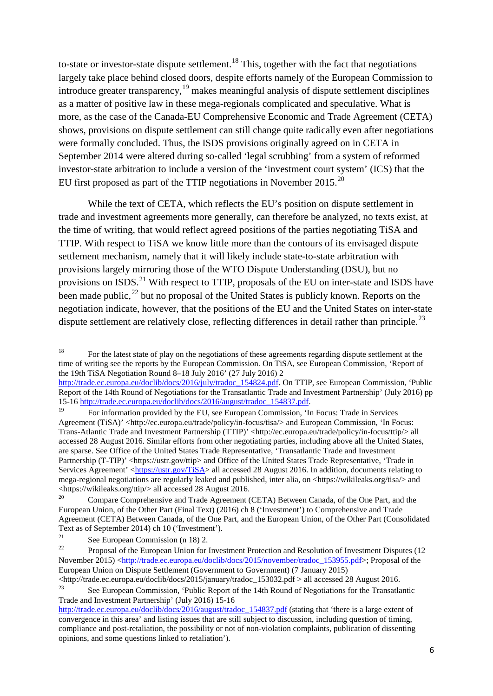<span id="page-8-0"></span>to-state or investor-state dispute settlement.<sup>[18](#page-8-1)</sup> This, together with the fact that negotiations largely take place behind closed doors, despite efforts namely of the European Commission to introduce greater transparency,  $19$  makes meaningful analysis of dispute settlement disciplines as a matter of positive law in these mega-regionals complicated and speculative. What is more, as the case of the Canada-EU Comprehensive Economic and Trade Agreement (CETA) shows, provisions on dispute settlement can still change quite radically even after negotiations were formally concluded. Thus, the ISDS provisions originally agreed on in CETA in September 2014 were altered during so-called 'legal scrubbing' from a system of reformed investor-state arbitration to include a version of the 'investment court system' (ICS) that the EU first proposed as part of the TTIP negotiations in November 2015.[20](#page-8-3)

While the text of CETA, which reflects the EU's position on dispute settlement in trade and investment agreements more generally, can therefore be analyzed, no texts exist, at the time of writing, that would reflect agreed positions of the parties negotiating TiSA and TTIP. With respect to TiSA we know little more than the contours of its envisaged dispute settlement mechanism, namely that it will likely include state-to-state arbitration with provisions largely mirroring those of the WTO Dispute Understanding (DSU), but no provisions on ISDS.<sup>[21](#page-8-4)</sup> With respect to TTIP, proposals of the EU on inter-state and ISDS have been made public,  $^{22}$  $^{22}$  $^{22}$  but no proposal of the United States is publicly known. Reports on the negotiation indicate, however, that the positions of the EU and the United States on inter-state dispute settlement are relatively close, reflecting differences in detail rather than principle.<sup>[23](#page-8-6)</sup>

<span id="page-8-9"></span><span id="page-8-8"></span><span id="page-8-7"></span><span id="page-8-1"></span><sup>&</sup>lt;sup>18</sup> For the latest state of play on the negotiations of these agreements regarding dispute settlement at the time of writing see the reports by the European Commission. On TiSA, see European Commission, 'Report of the 19th TiSA Negotiation Round 8–18 July 2016' (27 July 2016) 2

[http://trade.ec.europa.eu/doclib/docs/2016/july/tradoc\\_154824.pdf.](http://trade.ec.europa.eu/doclib/docs/2016/july/tradoc_154824.pdf) On TTIP, see European Commission, 'Public Report of the 14th Round of Negotiations for the Transatlantic Trade and Investment Partnership' (July 2016) pp 15-1[6 http://trade.ec.europa.eu/doclib/docs/2016/august/tradoc\\_154837.pdf.](http://trade.ec.europa.eu/doclib/docs/2016/august/tradoc_154837.pdf)

<span id="page-8-2"></span><sup>19</sup> For information provided by the EU, see European Commission, 'In Focus: Trade in Services Agreement (TiSA)' <http://ec.europa.eu/trade/policy/in-focus/tisa/> and European Commission, 'In Focus: Trans-Atlantic Trade and Investment Partnership (TTIP)' <http://ec.europa.eu/trade/policy/in-focus/ttip/> all accessed 28 August 2016. Similar efforts from other negotiating parties, including above all the United States, are sparse. See Office of the United States Trade Representative, 'Transatlantic Trade and Investment Partnership (T-TIP)' <https://ustr.gov/ttip> and Office of the United States Trade Representative, 'Trade in Services Agreement' [<https://ustr.gov/TiSA>](https://ustr.gov/TiSA) all accessed 28 August 2016. In addition, documents relating to mega-regional negotiations are regularly leaked and published, inter alia, on <https://wikileaks.org/tisa/> and <https://wikileaks.org/ttip/> all accessed 28 August 2016.

<span id="page-8-3"></span><sup>20</sup> Compare Comprehensive and Trade Agreement (CETA) Between Canada, of the One Part, and the European Union, of the Other Part (Final Text) (2016) ch 8 ('Investment') to Comprehensive and Trade Agreement (CETA) Between Canada, of the One Part, and the European Union, of the Other Part (Consolidated Text as of September 2014) ch 10 ('Investment').

<sup>&</sup>lt;sup>21</sup> See European Commission (n [18\)](#page-8-0) 2.

<span id="page-8-5"></span><span id="page-8-4"></span><sup>22</sup> Proposal of the European Union for Investment Protection and Resolution of Investment Disputes (12 November 2015) [<http://trade.ec.europa.eu/doclib/docs/2015/november/tradoc\\_153955.pdf>](http://trade.ec.europa.eu/doclib/docs/2015/november/tradoc_153955.pdf); Proposal of the European Union on Dispute Settlement (Government to Government) (7 January 2015)

<sup>&</sup>lt;http://trade.ec.europa.eu/doclib/docs/2015/january/tradoc\_153032.pdf > all accessed 28 August 2016. <sup>23</sup> See European Commission, 'Public Report of the 14th Round of Negotiations for the Transatlantic

<span id="page-8-6"></span>Trade and Investment Partnership' (July 2016) 15-16 [http://trade.ec.europa.eu/doclib/docs/2016/august/tradoc\\_154837.pdf](http://trade.ec.europa.eu/doclib/docs/2016/august/tradoc_154837.pdf) (stating that 'there is a large extent of convergence in this area' and listing issues that are still subject to discussion, including question of timing, compliance and post-retaliation, the possibility or not of non-violation complaints, publication of dissenting opinions, and some questions linked to retaliation').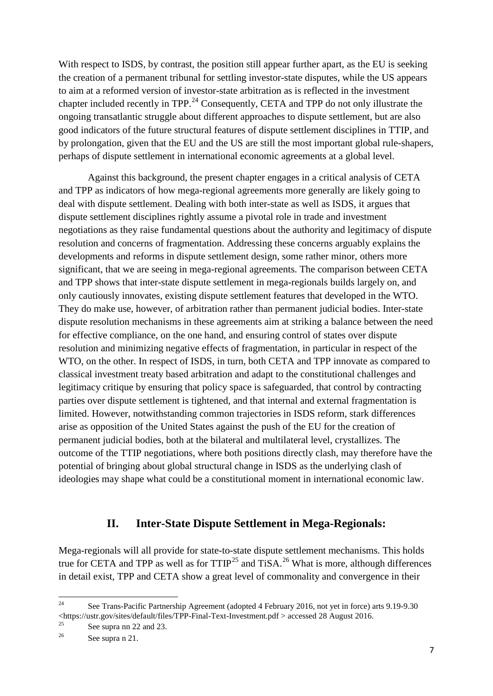With respect to ISDS, by contrast, the position still appear further apart, as the EU is seeking the creation of a permanent tribunal for settling investor-state disputes, while the US appears to aim at a reformed version of investor-state arbitration as is reflected in the investment chapter included recently in TPP.<sup>[24](#page-9-0)</sup> Consequently, CETA and TPP do not only illustrate the ongoing transatlantic struggle about different approaches to dispute settlement, but are also good indicators of the future structural features of dispute settlement disciplines in TTIP, and by prolongation, given that the EU and the US are still the most important global rule-shapers, perhaps of dispute settlement in international economic agreements at a global level.

Against this background, the present chapter engages in a critical analysis of CETA and TPP as indicators of how mega-regional agreements more generally are likely going to deal with dispute settlement. Dealing with both inter-state as well as ISDS, it argues that dispute settlement disciplines rightly assume a pivotal role in trade and investment negotiations as they raise fundamental questions about the authority and legitimacy of dispute resolution and concerns of fragmentation. Addressing these concerns arguably explains the developments and reforms in dispute settlement design, some rather minor, others more significant, that we are seeing in mega-regional agreements. The comparison between CETA and TPP shows that inter-state dispute settlement in mega-regionals builds largely on, and only cautiously innovates, existing dispute settlement features that developed in the WTO. They do make use, however, of arbitration rather than permanent judicial bodies. Inter-state dispute resolution mechanisms in these agreements aim at striking a balance between the need for effective compliance, on the one hand, and ensuring control of states over dispute resolution and minimizing negative effects of fragmentation, in particular in respect of the WTO, on the other. In respect of ISDS, in turn, both CETA and TPP innovate as compared to classical investment treaty based arbitration and adapt to the constitutional challenges and legitimacy critique by ensuring that policy space is safeguarded, that control by contracting parties over dispute settlement is tightened, and that internal and external fragmentation is limited. However, notwithstanding common trajectories in ISDS reform, stark differences arise as opposition of the United States against the push of the EU for the creation of permanent judicial bodies, both at the bilateral and multilateral level, crystallizes. The outcome of the TTIP negotiations, where both positions directly clash, may therefore have the potential of bringing about global structural change in ISDS as the underlying clash of ideologies may shape what could be a constitutional moment in international economic law.

### **II. Inter-State Dispute Settlement in Mega-Regionals:**

Mega-regionals will all provide for state-to-state dispute settlement mechanisms. This holds true for CETA and TPP as well as for  $TTIP^{25}$  $TTIP^{25}$  $TTIP^{25}$  and TiSA.<sup>[26](#page-9-2)</sup> What is more, although differences in detail exist, TPP and CETA show a great level of commonality and convergence in their

<span id="page-9-0"></span><sup>&</sup>lt;sup>24</sup> See Trans-Pacific Partnership Agreement (adopted 4 February 2016, not yet in force) arts 9.19-9.30 <https://ustr.gov/sites/default/files/TPP-Final-Text-Investment.pdf > accessed 28 August 2016.

<span id="page-9-1"></span><sup>&</sup>lt;sup>25</sup> See supra nn [22](#page-8-7) and [23.](#page-8-8)

<span id="page-9-2"></span>See supra n [21.](#page-8-9)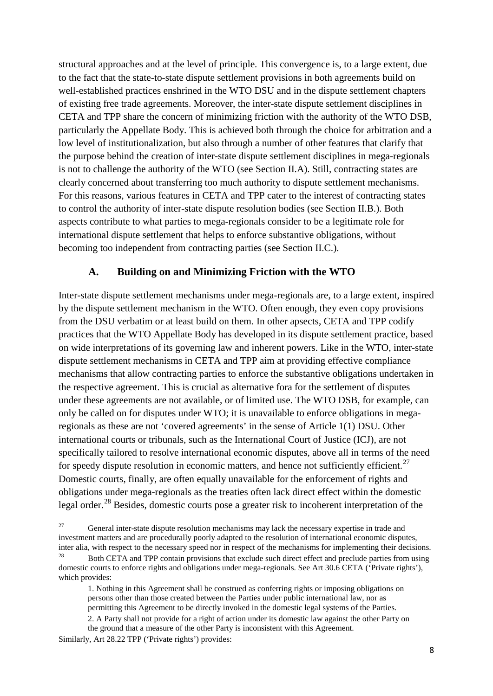structural approaches and at the level of principle. This convergence is, to a large extent, due to the fact that the state-to-state dispute settlement provisions in both agreements build on well-established practices enshrined in the WTO DSU and in the dispute settlement chapters of existing free trade agreements. Moreover, the inter-state dispute settlement disciplines in CETA and TPP share the concern of minimizing friction with the authority of the WTO DSB, particularly the Appellate Body. This is achieved both through the choice for arbitration and a low level of institutionalization, but also through a number of other features that clarify that the purpose behind the creation of inter-state dispute settlement disciplines in mega-regionals is not to challenge the authority of the WTO (see Section II.A). Still, contracting states are clearly concerned about transferring too much authority to dispute settlement mechanisms. For this reasons, various features in CETA and TPP cater to the interest of contracting states to control the authority of inter-state dispute resolution bodies (see Section II.B.). Both aspects contribute to what parties to mega-regionals consider to be a legitimate role for international dispute settlement that helps to enforce substantive obligations, without becoming too independent from contracting parties (see Section II.C.).

#### **A. Building on and Minimizing Friction with the WTO**

Inter-state dispute settlement mechanisms under mega-regionals are, to a large extent, inspired by the dispute settlement mechanism in the WTO. Often enough, they even copy provisions from the DSU verbatim or at least build on them. In other apsects, CETA and TPP codify practices that the WTO Appellate Body has developed in its dispute settlement practice, based on wide interpretations of its governing law and inherent powers. Like in the WTO, inter-state dispute settlement mechanisms in CETA and TPP aim at providing effective compliance mechanisms that allow contracting parties to enforce the substantive obligations undertaken in the respective agreement. This is crucial as alternative fora for the settlement of disputes under these agreements are not available, or of limited use. The WTO DSB, for example, can only be called on for disputes under WTO; it is unavailable to enforce obligations in megaregionals as these are not 'covered agreements' in the sense of Article 1(1) DSU. Other international courts or tribunals, such as the International Court of Justice (ICJ), are not specifically tailored to resolve international economic disputes, above all in terms of the need for speedy dispute resolution in economic matters, and hence not sufficiently efficient.<sup>[27](#page-10-0)</sup> Domestic courts, finally, are often equally unavailable for the enforcement of rights and obligations under mega-regionals as the treaties often lack direct effect within the domestic legal order.<sup>[28](#page-10-1)</sup> Besides, domestic courts pose a greater risk to incoherent interpretation of the

<span id="page-10-0"></span><sup>&</sup>lt;sup>27</sup> General inter-state dispute resolution mechanisms may lack the necessary expertise in trade and investment matters and are procedurally poorly adapted to the resolution of international economic disputes, inter alia, with respect to the necessary speed nor in respect of the mechanisms for implementing their decisions.

<span id="page-10-1"></span><sup>28</sup> Both CETA and TPP contain provisions that exclude such direct effect and preclude parties from using domestic courts to enforce rights and obligations under mega-regionals. See Art 30.6 CETA ('Private rights'), which provides:

<sup>1.</sup> Nothing in this Agreement shall be construed as conferring rights or imposing obligations on persons other than those created between the Parties under public international law, nor as permitting this Agreement to be directly invoked in the domestic legal systems of the Parties. 2. A Party shall not provide for a right of action under its domestic law against the other Party on

the ground that a measure of the other Party is inconsistent with this Agreement.

Similarly, Art 28.22 TPP ('Private rights') provides: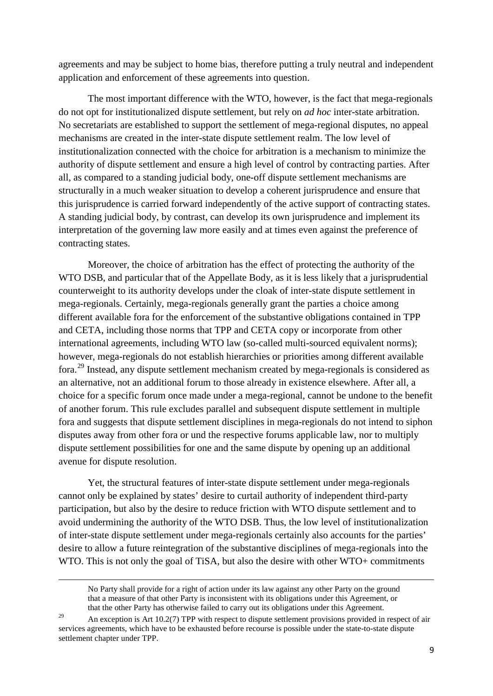agreements and may be subject to home bias, therefore putting a truly neutral and independent application and enforcement of these agreements into question.

The most important difference with the WTO, however, is the fact that mega-regionals do not opt for institutionalized dispute settlement, but rely on *ad hoc* inter-state arbitration. No secretariats are established to support the settlement of mega-regional disputes, no appeal mechanisms are created in the inter-state dispute settlement realm. The low level of institutionalization connected with the choice for arbitration is a mechanism to minimize the authority of dispute settlement and ensure a high level of control by contracting parties. After all, as compared to a standing judicial body, one-off dispute settlement mechanisms are structurally in a much weaker situation to develop a coherent jurisprudence and ensure that this jurisprudence is carried forward independently of the active support of contracting states. A standing judicial body, by contrast, can develop its own jurisprudence and implement its interpretation of the governing law more easily and at times even against the preference of contracting states.

Moreover, the choice of arbitration has the effect of protecting the authority of the WTO DSB, and particular that of the Appellate Body, as it is less likely that a jurisprudential counterweight to its authority develops under the cloak of inter-state dispute settlement in mega-regionals. Certainly, mega-regionals generally grant the parties a choice among different available fora for the enforcement of the substantive obligations contained in TPP and CETA, including those norms that TPP and CETA copy or incorporate from other international agreements, including WTO law (so-called multi-sourced equivalent norms); however, mega-regionals do not establish hierarchies or priorities among different available fora.[29](#page-11-0) Instead, any dispute settlement mechanism created by mega-regionals is considered as an alternative, not an additional forum to those already in existence elsewhere. After all, a choice for a specific forum once made under a mega-regional, cannot be undone to the benefit of another forum. This rule excludes parallel and subsequent dispute settlement in multiple fora and suggests that dispute settlement disciplines in mega-regionals do not intend to siphon disputes away from other fora or und the respective forums applicable law, nor to multiply dispute settlement possibilities for one and the same dispute by opening up an additional avenue for dispute resolution.

Yet, the structural features of inter-state dispute settlement under mega-regionals cannot only be explained by states' desire to curtail authority of independent third-party participation, but also by the desire to reduce friction with WTO dispute settlement and to avoid undermining the authority of the WTO DSB. Thus, the low level of institutionalization of inter-state dispute settlement under mega-regionals certainly also accounts for the parties' desire to allow a future reintegration of the substantive disciplines of mega-regionals into the WTO. This is not only the goal of TiSA, but also the desire with other WTO+ commitments

1

No Party shall provide for a right of action under its law against any other Party on the ground that a measure of that other Party is inconsistent with its obligations under this Agreement, or that the other Party has otherwise failed to carry out its obligations under this Agreement.

<span id="page-11-0"></span><sup>&</sup>lt;sup>29</sup> An exception is Art 10.2(7) TPP with respect to dispute settlement provisions provided in respect of air services agreements, which have to be exhausted before recourse is possible under the state-to-state dispute settlement chapter under TPP.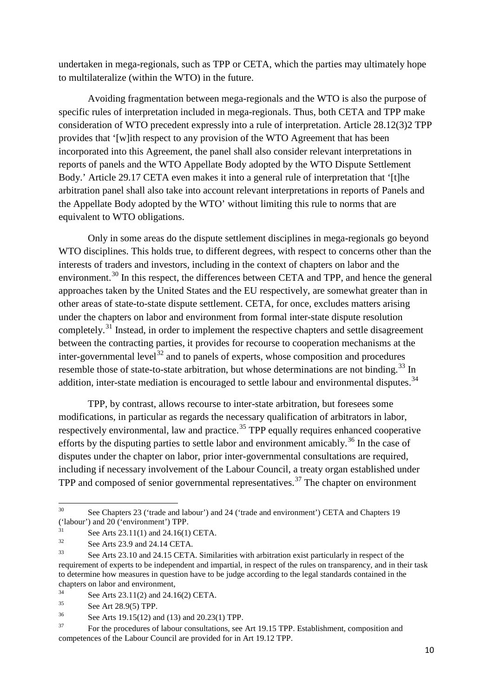undertaken in mega-regionals, such as TPP or CETA, which the parties may ultimately hope to multilateralize (within the WTO) in the future.

Avoiding fragmentation between mega-regionals and the WTO is also the purpose of specific rules of interpretation included in mega-regionals. Thus, both CETA and TPP make consideration of WTO precedent expressly into a rule of interpretation. Article 28.12(3)2 TPP provides that '[w]ith respect to any provision of the WTO Agreement that has been incorporated into this Agreement, the panel shall also consider relevant interpretations in reports of panels and the WTO Appellate Body adopted by the WTO Dispute Settlement Body.' Article 29.17 CETA even makes it into a general rule of interpretation that '[t]he arbitration panel shall also take into account relevant interpretations in reports of Panels and the Appellate Body adopted by the WTO' without limiting this rule to norms that are equivalent to WTO obligations.

Only in some areas do the dispute settlement disciplines in mega-regionals go beyond WTO disciplines. This holds true, to different degrees, with respect to concerns other than the interests of traders and investors, including in the context of chapters on labor and the environment.<sup>[30](#page-12-0)</sup> In this respect, the differences between CETA and TPP, and hence the general approaches taken by the United States and the EU respectively, are somewhat greater than in other areas of state-to-state dispute settlement. CETA, for once, excludes matters arising under the chapters on labor and environment from formal inter-state dispute resolution completely.<sup>[31](#page-12-1)</sup> Instead, in order to implement the respective chapters and settle disagreement between the contracting parties, it provides for recourse to cooperation mechanisms at the inter-governmental level<sup>[32](#page-12-2)</sup> and to panels of experts, whose composition and procedures resemble those of state-to-state arbitration, but whose determinations are not binding.<sup>[33](#page-12-3)</sup> In addition, inter-state mediation is encouraged to settle labour and environmental disputes.<sup>[34](#page-12-4)</sup>

TPP, by contrast, allows recourse to inter-state arbitration, but foresees some modifications, in particular as regards the necessary qualification of arbitrators in labor, respectively environmental, law and practice.<sup>[35](#page-12-5)</sup> TPP equally requires enhanced cooperative efforts by the disputing parties to settle labor and environment amicably.<sup>[36](#page-12-6)</sup> In the case of disputes under the chapter on labor, prior inter-governmental consultations are required, including if necessary involvement of the Labour Council, a treaty organ established under TPP and composed of senior governmental representatives.<sup>[37](#page-12-7)</sup> The chapter on environment

<span id="page-12-0"></span><sup>&</sup>lt;sup>30</sup> See Chapters 23 ('trade and labour') and 24 ('trade and environment') CETA and Chapters 19 ('labour') and 20 ('environment') TPP.

<span id="page-12-1"></span> $31$  See Arts 23.11(1) and 24.16(1) CETA.

<span id="page-12-2"></span> $3^3$  See Arts 23.9 and 24.14 CETA.

<span id="page-12-3"></span>See Arts 23.10 and 24.15 CETA. Similarities with arbitration exist particularly in respect of the requirement of experts to be independent and impartial, in respect of the rules on transparency, and in their task to determine how measures in question have to be judge according to the legal standards contained in the chapters on labor and environment,

<span id="page-12-4"></span><sup>&</sup>lt;sup>34</sup> See Arts 23.11(2) and 24.16(2) CETA.<br><sup>35</sup>

<span id="page-12-5"></span> $3^5$  See Art 28.9(5) TPP.<br> $3^6$  See Arts 10.15(12) or

See Arts 19.15(12) and (13) and 20.23(1) TPP.

<span id="page-12-7"></span><span id="page-12-6"></span><sup>&</sup>lt;sup>37</sup> For the procedures of labour consultations, see Art 19.15 TPP. Establishment, composition and competences of the Labour Council are provided for in Art 19.12 TPP.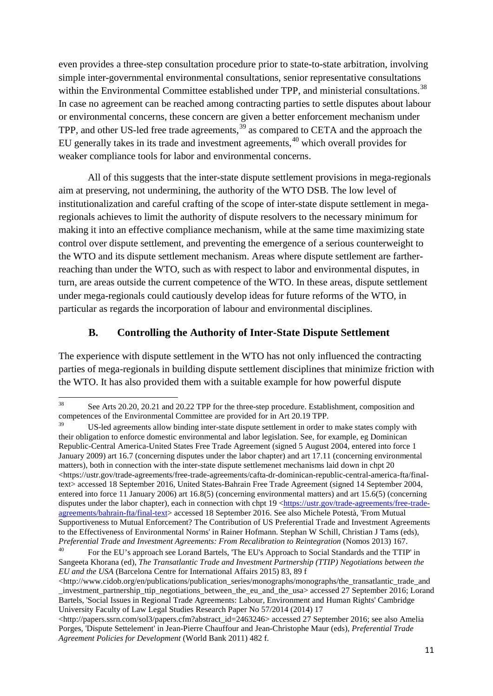even provides a three-step consultation procedure prior to state-to-state arbitration, involving simple inter-governmental environmental consultations, senior representative consultations within the Environmental Committee established under TPP, and ministerial consultations.<sup>[38](#page-13-0)</sup> In case no agreement can be reached among contracting parties to settle disputes about labour or environmental concerns, these concern are given a better enforcement mechanism under TPP, and other US-led free trade agreements,<sup>[39](#page-13-1)</sup> as compared to CETA and the approach the EU generally takes in its trade and investment agreements,<sup>[40](#page-13-2)</sup> which overall provides for weaker compliance tools for labor and environmental concerns.

All of this suggests that the inter-state dispute settlement provisions in mega-regionals aim at preserving, not undermining, the authority of the WTO DSB. The low level of institutionalization and careful crafting of the scope of inter-state dispute settlement in megaregionals achieves to limit the authority of dispute resolvers to the necessary minimum for making it into an effective compliance mechanism, while at the same time maximizing state control over dispute settlement, and preventing the emergence of a serious counterweight to the WTO and its dispute settlement mechanism. Areas where dispute settlement are fartherreaching than under the WTO, such as with respect to labor and environmental disputes, in turn, are areas outside the current competence of the WTO. In these areas, dispute settlement under mega-regionals could cautiously develop ideas for future reforms of the WTO, in particular as regards the incorporation of labour and environmental disciplines.

#### **B. Controlling the Authority of Inter-State Dispute Settlement**

The experience with dispute settlement in the WTO has not only influenced the contracting parties of mega-regionals in building dispute settlement disciplines that minimize friction with the WTO. It has also provided them with a suitable example for how powerful dispute

<span id="page-13-0"></span><sup>&</sup>lt;sup>38</sup> See Arts 20.20, 20.21 and 20.22 TPP for the three-step procedure. Establishment, composition and competences of the Environmental Committee are provided for in Art 20.19 TPP.

<span id="page-13-1"></span>US-led agreements allow binding inter-state dispute settlement in order to make states comply with their obligation to enforce domestic environmental and labor legislation. See, for example, eg Dominican Republic-Central America-United States Free Trade Agreement (signed 5 August 2004, entered into force 1 January 2009) art 16.7 (concerning disputes under the labor chapter) and art 17.11 (concerning environmental matters), both in connection with the inter-state dispute settlemenet mechanisms laid down in chpt 20  $\langle$ https://ustr.gov/trade-agreements/free-trade-agreements/cafta-dr-dominican-republic-central-america-fta/finaltext> accessed 18 September 2016, United States-Bahrain Free Trade Agreement (signed 14 September 2004, entered into force 11 January 2006) art 16.8(5) (concerning environmental matters) and art 15.6(5) (concerning disputes under the labor chapter), each in connection with chpt 19 [<https://ustr.gov/trade-agreements/free-trade](https://ustr.gov/trade-agreements/free-trade-agreements/bahrain-fta/final-text)[agreements/bahrain-fta/final-text>](https://ustr.gov/trade-agreements/free-trade-agreements/bahrain-fta/final-text) accessed 18 September 2016. See also Michele Potestà, 'From Mutual Supportiveness to Mutual Enforcement? The Contribution of US Preferential Trade and Investment Agreements to the Effectiveness of Environmental Norms' in Rainer Hofmann. Stephan W Schill, Christian J Tams (eds), *Preferential Trade and Investment Agreements: From Recalibration to Reintegration* (Nomos 2013) 167.

<span id="page-13-2"></span><sup>40</sup> For the EU's approach see Lorand Bartels, 'The EU's Approach to Social Standards and the TTIP' in Sangeeta Khorana (ed), *The Transatlantic Trade and Investment Partnership (TTIP) Negotiations between the EU and the USA* (Barcelona Centre for International Affairs 2015) 83, 89 f

<sup>&</sup>lt;http://www.cidob.org/en/publications/publication\_series/monographs/monographs/the\_transatlantic\_trade\_and \_investment\_partnership\_ttip\_negotiations\_between\_the\_eu\_and\_the\_usa> accessed 27 September 2016; Lorand Bartels, 'Social Issues in Regional Trade Agreements: Labour, Environment and Human Rights' Cambridge University Faculty of Law Legal Studies Research Paper No 57/2014 (2014) 17

<sup>&</sup>lt;http://papers.ssrn.com/sol3/papers.cfm?abstract\_id=2463246> accessed 27 September 2016; see also Amelia Porges, 'Dispute Settelement' in Jean-Pierre Chauffour and Jean-Christophe Maur (eds), *Preferential Trade Agreement Policies for Development* (World Bank 2011) 482 f.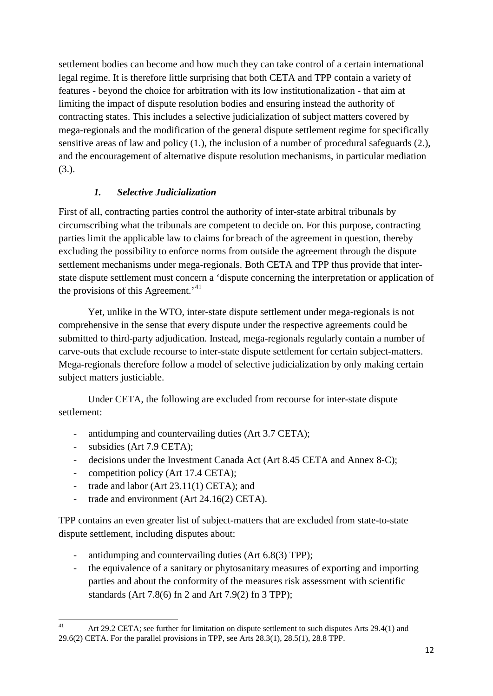settlement bodies can become and how much they can take control of a certain international legal regime. It is therefore little surprising that both CETA and TPP contain a variety of features - beyond the choice for arbitration with its low institutionalization - that aim at limiting the impact of dispute resolution bodies and ensuring instead the authority of contracting states. This includes a selective judicialization of subject matters covered by mega-regionals and the modification of the general dispute settlement regime for specifically sensitive areas of law and policy (1.), the inclusion of a number of procedural safeguards (2.), and the encouragement of alternative dispute resolution mechanisms, in particular mediation (3.).

#### *1. Selective Judicialization*

First of all, contracting parties control the authority of inter-state arbitral tribunals by circumscribing what the tribunals are competent to decide on. For this purpose, contracting parties limit the applicable law to claims for breach of the agreement in question, thereby excluding the possibility to enforce norms from outside the agreement through the dispute settlement mechanisms under mega-regionals. Both CETA and TPP thus provide that interstate dispute settlement must concern a 'dispute concerning the interpretation or application of the provisions of this Agreement.<sup>[41](#page-14-0)</sup>

Yet, unlike in the WTO, inter-state dispute settlement under mega-regionals is not comprehensive in the sense that every dispute under the respective agreements could be submitted to third-party adjudication. Instead, mega-regionals regularly contain a number of carve-outs that exclude recourse to inter-state dispute settlement for certain subject-matters. Mega-regionals therefore follow a model of selective judicialization by only making certain subject matters justiciable.

Under CETA, the following are excluded from recourse for inter-state dispute settlement:

- antidumping and countervailing duties (Art 3.7 CETA);
- subsidies (Art 7.9 CETA);
- decisions under the Investment Canada Act (Art 8.45 CETA and Annex 8-C);
- competition policy (Art 17.4 CETA);
- trade and labor (Art 23.11(1) CETA); and
- trade and environment (Art 24.16(2) CETA).

TPP contains an even greater list of subject-matters that are excluded from state-to-state dispute settlement, including disputes about:

- antidumping and countervailing duties (Art 6.8(3) TPP);
- the equivalence of a sanitary or phytosanitary measures of exporting and importing parties and about the conformity of the measures risk assessment with scientific standards (Art 7.8(6) fn 2 and Art 7.9(2) fn 3 TPP);

<span id="page-14-0"></span><sup>&</sup>lt;sup>41</sup> Art 29.2 CETA; see further for limitation on dispute settlement to such disputes Arts 29.4(1) and 29.6(2) CETA. For the parallel provisions in TPP, see Arts 28.3(1), 28.5(1), 28.8 TPP.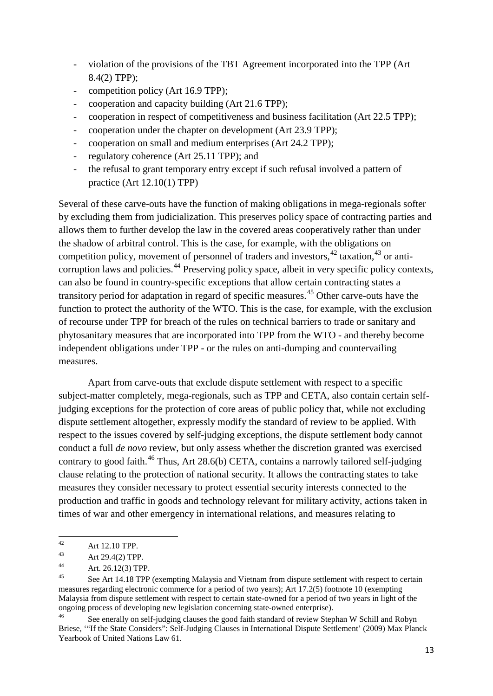- violation of the provisions of the TBT Agreement incorporated into the TPP (Art 8.4(2) TPP);
- competition policy (Art 16.9 TPP);
- cooperation and capacity building (Art 21.6 TPP);
- cooperation in respect of competitiveness and business facilitation (Art 22.5 TPP);
- cooperation under the chapter on development (Art 23.9 TPP);
- cooperation on small and medium enterprises (Art 24.2 TPP);
- regulatory coherence (Art 25.11 TPP); and
- the refusal to grant temporary entry except if such refusal involved a pattern of practice (Art 12.10(1) TPP)

Several of these carve-outs have the function of making obligations in mega-regionals softer by excluding them from judicialization. This preserves policy space of contracting parties and allows them to further develop the law in the covered areas cooperatively rather than under the shadow of arbitral control. This is the case, for example, with the obligations on competition policy, movement of personnel of traders and investors,  $42$  taxation,  $43$  or anti-corruption laws and policies.<sup>[44](#page-15-2)</sup> Preserving policy space, albeit in very specific policy contexts, can also be found in country-specific exceptions that allow certain contracting states a transitory period for adaptation in regard of specific measures.[45](#page-15-3) Other carve-outs have the function to protect the authority of the WTO. This is the case, for example, with the exclusion of recourse under TPP for breach of the rules on technical barriers to trade or sanitary and phytosanitary measures that are incorporated into TPP from the WTO - and thereby become independent obligations under TPP - or the rules on anti-dumping and countervailing measures.

Apart from carve-outs that exclude dispute settlement with respect to a specific subject-matter completely, mega-regionals, such as TPP and CETA, also contain certain selfjudging exceptions for the protection of core areas of public policy that, while not excluding dispute settlement altogether, expressly modify the standard of review to be applied. With respect to the issues covered by self-judging exceptions, the dispute settlement body cannot conduct a full *de novo* review, but only assess whether the discretion granted was exercised contrary to good faith.<sup>[46](#page-15-4)</sup> Thus, Art 28.6(b) CETA, contains a narrowly tailored self-judging clause relating to the protection of national security. It allows the contracting states to take measures they consider necessary to protect essential security interests connected to the production and traffic in goods and technology relevant for military activity, actions taken in times of war and other emergency in international relations, and measures relating to

<span id="page-15-0"></span><sup>42</sup> Art 12.10 TPP.

<span id="page-15-1"></span><sup>43</sup> Art 29.4(2) TPP.

<span id="page-15-2"></span><sup>44</sup> Art. 26.12(3) TPP.

<span id="page-15-3"></span>See Art 14.18 TPP (exempting Malaysia and Vietnam from dispute settlement with respect to certain measures regarding electronic commerce for a period of two years); Art 17.2(5) footnote 10 (exempting Malaysia from dispute settlement with respect to certain state-owned for a period of two years in light of the ongoing process of developing new legislation concerning state-owned enterprise).

<span id="page-15-4"></span><sup>&</sup>lt;sup>46</sup> See enerally on self-judging clauses the good faith standard of review Stephan W Schill and Robyn Briese, '"If the State Considers": Self-Judging Clauses in International Dispute Settlement' (2009) Max Planck Yearbook of United Nations Law 61.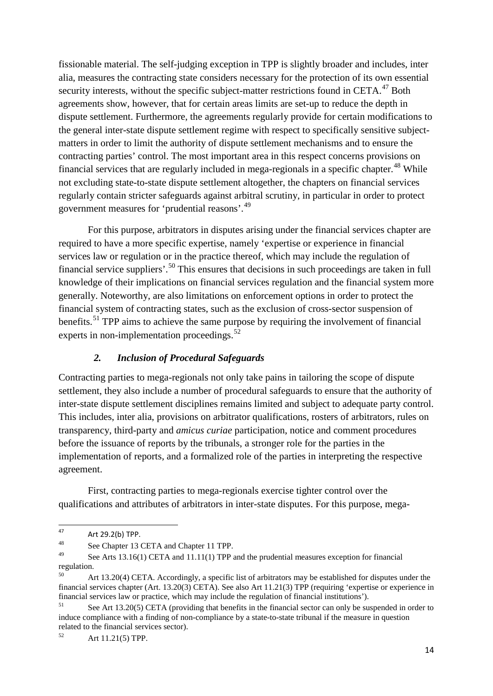fissionable material. The self-judging exception in TPP is slightly broader and includes, inter alia, measures the contracting state considers necessary for the protection of its own essential security interests, without the specific subject-matter restrictions found in CETA.<sup>[47](#page-16-0)</sup> Both agreements show, however, that for certain areas limits are set-up to reduce the depth in dispute settlement. Furthermore, the agreements regularly provide for certain modifications to the general inter-state dispute settlement regime with respect to specifically sensitive subjectmatters in order to limit the authority of dispute settlement mechanisms and to ensure the contracting parties' control. The most important area in this respect concerns provisions on financial services that are regularly included in mega-regionals in a specific chapter.<sup>[48](#page-16-1)</sup> While not excluding state-to-state dispute settlement altogether, the chapters on financial services regularly contain stricter safeguards against arbitral scrutiny, in particular in order to protect government measures for 'prudential reasons'.<sup>[49](#page-16-2)</sup>

For this purpose, arbitrators in disputes arising under the financial services chapter are required to have a more specific expertise, namely 'expertise or experience in financial services law or regulation or in the practice thereof, which may include the regulation of financial service suppliers'.<sup>[50](#page-16-3)</sup> This ensures that decisions in such proceedings are taken in full knowledge of their implications on financial services regulation and the financial system more generally. Noteworthy, are also limitations on enforcement options in order to protect the financial system of contracting states, such as the exclusion of cross-sector suspension of benefits.<sup>[51](#page-16-4)</sup> TPP aims to achieve the same purpose by requiring the involvement of financial experts in non-implementation proceedings.<sup>[52](#page-16-5)</sup>

#### *2. Inclusion of Procedural Safeguards*

Contracting parties to mega-regionals not only take pains in tailoring the scope of dispute settlement, they also include a number of procedural safeguards to ensure that the authority of inter-state dispute settlement disciplines remains limited and subject to adequate party control. This includes, inter alia, provisions on arbitrator qualifications, rosters of arbitrators, rules on transparency, third-party and *amicus curiae* participation, notice and comment procedures before the issuance of reports by the tribunals, a stronger role for the parties in the implementation of reports, and a formalized role of the parties in interpreting the respective agreement.

First, contracting parties to mega-regionals exercise tighter control over the qualifications and attributes of arbitrators in inter-state disputes. For this purpose, mega-

<span id="page-16-0"></span><sup>47</sup> Art 29.2(b) TPP.<br>48 See Chapter 12.4

<span id="page-16-1"></span><sup>&</sup>lt;sup>48</sup> See Chapter 13 CETA and Chapter 11 TPP.<br><sup>49</sup> See Arts 13 16(1) CETA and 11 11(1) TPP of

<span id="page-16-2"></span>See Arts 13.16(1) CETA and 11.11(1) TPP and the prudential measures exception for financial regulation.

<span id="page-16-3"></span>Art 13.20(4) CETA. Accordingly, a specific list of arbitrators may be established for disputes under the financial services chapter (Art. 13.20(3) CETA). See also Art 11.21(3) TPP (requiring 'expertise or experience in financial services law or practice, which may include the regulation of financial institutions').

<span id="page-16-4"></span><sup>&</sup>lt;sup>51</sup> See Art 13.20(5) CETA (providing that benefits in the financial sector can only be suspended in order to induce compliance with a finding of non-compliance by a state-to-state tribunal if the measure in question related to the financial services sector).<br> $52 \left( \frac{1}{2} + 1121(5) \right)$ 

<span id="page-16-5"></span>Art 11.21(5) TPP.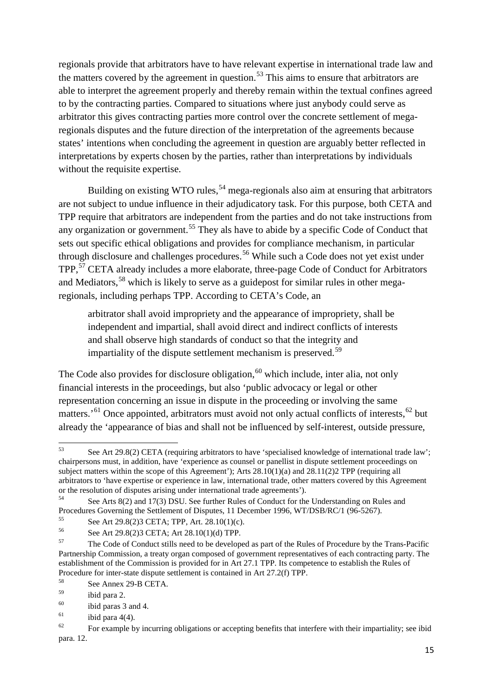regionals provide that arbitrators have to have relevant expertise in international trade law and the matters covered by the agreement in question.<sup>[53](#page-17-0)</sup> This aims to ensure that arbitrators are able to interpret the agreement properly and thereby remain within the textual confines agreed to by the contracting parties. Compared to situations where just anybody could serve as arbitrator this gives contracting parties more control over the concrete settlement of megaregionals disputes and the future direction of the interpretation of the agreements because states' intentions when concluding the agreement in question are arguably better reflected in interpretations by experts chosen by the parties, rather than interpretations by individuals without the requisite expertise.

Building on existing WTO rules,<sup>[54](#page-17-1)</sup> mega-regionals also aim at ensuring that arbitrators are not subject to undue influence in their adjudicatory task. For this purpose, both CETA and TPP require that arbitrators are independent from the parties and do not take instructions from any organization or government.<sup>[55](#page-17-2)</sup> They als have to abide by a specific Code of Conduct that sets out specific ethical obligations and provides for compliance mechanism, in particular through disclosure and challenges procedures. [56](#page-17-3) While such a Code does not yet exist under TPP,<sup>[57](#page-17-4)</sup> CETA already includes a more elaborate, three-page Code of Conduct for Arbitrators and Mediators,<sup>[58](#page-17-5)</sup> which is likely to serve as a guidepost for similar rules in other megaregionals, including perhaps TPP. According to CETA's Code, an

arbitrator shall avoid impropriety and the appearance of impropriety, shall be independent and impartial, shall avoid direct and indirect conflicts of interests and shall observe high standards of conduct so that the integrity and impartiality of the dispute settlement mechanism is preserved.<sup>[59](#page-17-6)</sup>

The Code also provides for disclosure obligation,  $60$  which include, inter alia, not only financial interests in the proceedings, but also 'public advocacy or legal or other representation concerning an issue in dispute in the proceeding or involving the same matters.<sup>51</sup> Once appointed, arbitrators must avoid not only actual conflicts of interests,<sup>[62](#page-17-9)</sup> but already the 'appearance of bias and shall not be influenced by self-interest, outside pressure,

<span id="page-17-0"></span><sup>53</sup> See Art 29.8(2) CETA (requiring arbitrators to have 'specialised knowledge of international trade law'; chairpersons must, in addition, have 'experience as counsel or panellist in dispute settlement proceedings on subject matters within the scope of this Agreement'); Arts  $28.10(1)(a)$  and  $28.11(2)$  TPP (requiring all arbitrators to 'have expertise or experience in law, international trade, other matters covered by this Agreement or the resolution of disputes arising under international trade agreements').

<span id="page-17-1"></span><sup>&</sup>lt;sup>54</sup> See Arts 8(2) and 17(3) DSU. See further Rules of Conduct for the Understanding on Rules and Procedures Governing the Settlement of Disputes, 11 December 1996, WT/DSB/RC/1 (96-5267).

<span id="page-17-2"></span><sup>55</sup> See Art 29.8(2)3 CETA; TPP, Art. 28.10(1)(c).

<span id="page-17-3"></span> $^{56}$  See Art 29.8(2)3 CETA; Art 28.10(1)(d) TPP.<br> $^{57}$  The Gode of Conduct stills need to be developed.

<span id="page-17-4"></span><sup>57</sup> The Code of Conduct stills need to be developed as part of the Rules of Procedure by the Trans-Pacific Partnership Commission, a treaty organ composed of government representatives of each contracting party. The establishment of the Commission is provided for in Art 27.1 TPP. Its competence to establish the Rules of Procedure for inter-state dispute settlement is contained in Art 27.2(f) TPP.

<span id="page-17-5"></span> $58$  See Annex 29-B CETA.<br> $59$  ibid name 2

<span id="page-17-6"></span> $\frac{59}{60}$  ibid para 2.

<span id="page-17-7"></span> $^{60}$  ibid paras 3 and 4.<br><sup>61</sup> ibid para 4(4)

ibid para  $4(4)$ .

<span id="page-17-9"></span><span id="page-17-8"></span> $62$  For example by incurring obligations or accepting benefits that interfere with their impartiality; see ibid para. 12.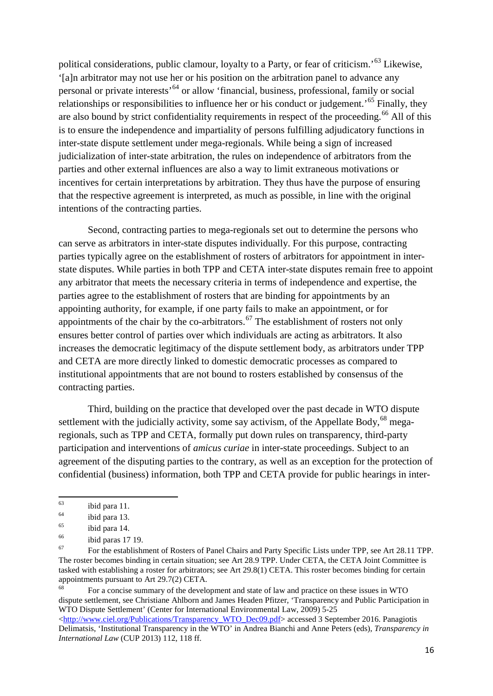political considerations, public clamour, loyalty to a Party, or fear of criticism.'[63](#page-18-0) Likewise, '[a]n arbitrator may not use her or his position on the arbitration panel to advance any personal or private interests<sup>, [64](#page-18-1)</sup> or allow 'financial, business, professional, family or social relationships or responsibilities to influence her or his conduct or judgement.<sup>55</sup> Finally, they are also bound by strict confidentiality requirements in respect of the proceeding.<sup>[66](#page-18-3)</sup> All of this is to ensure the independence and impartiality of persons fulfilling adjudicatory functions in inter-state dispute settlement under mega-regionals. While being a sign of increased judicialization of inter-state arbitration, the rules on independence of arbitrators from the parties and other external influences are also a way to limit extraneous motivations or incentives for certain interpretations by arbitration. They thus have the purpose of ensuring that the respective agreement is interpreted, as much as possible, in line with the original intentions of the contracting parties.

Second, contracting parties to mega-regionals set out to determine the persons who can serve as arbitrators in inter-state disputes individually. For this purpose, contracting parties typically agree on the establishment of rosters of arbitrators for appointment in interstate disputes. While parties in both TPP and CETA inter-state disputes remain free to appoint any arbitrator that meets the necessary criteria in terms of independence and expertise, the parties agree to the establishment of rosters that are binding for appointments by an appointing authority, for example, if one party fails to make an appointment, or for appointments of the chair by the co-arbitrators.<sup>[67](#page-18-4)</sup> The establishment of rosters not only ensures better control of parties over which individuals are acting as arbitrators. It also increases the democratic legitimacy of the dispute settlement body, as arbitrators under TPP and CETA are more directly linked to domestic democratic processes as compared to institutional appointments that are not bound to rosters established by consensus of the contracting parties.

Third, building on the practice that developed over the past decade in WTO dispute settlement with the judicially activity, some say activism, of the Appellate Body,  $^{68}$  $^{68}$  $^{68}$  megaregionals, such as TPP and CETA, formally put down rules on transparency, third-party participation and interventions of *amicus curiae* in inter-state proceedings. Subject to an agreement of the disputing parties to the contrary, as well as an exception for the protection of confidential (business) information, both TPP and CETA provide for public hearings in inter-

<span id="page-18-5"></span><sup>68</sup> For a concise summary of the development and state of law and practice on these issues in WTO dispute settlement, see Christiane Ahlborn and James Headen Pfitzer, 'Transparency and Public Participation in WTO Dispute Settlement' (Center for International Environmental Law, 2009) 5-25 [<http://www.ciel.org/Publications/Transparency\\_WTO\\_Dec09.pdf>](http://www.ciel.org/Publications/Transparency_WTO_Dec09.pdf) accessed 3 September 2016. Panagiotis Delimatsis, 'Institutional Transparency in the WTO' in Andrea Bianchi and Anne Peters (eds), *Transparency in International Law* (CUP 2013) 112, 118 ff.

<span id="page-18-0"></span> $\begin{array}{cc}\n 63 \\
 \hline\n 64\n \end{array}$  ibid para 11.

 $^{64}$  ibid para 13.

<span id="page-18-2"></span><span id="page-18-1"></span> $\frac{65}{66}$  ibid para 14.

<span id="page-18-3"></span> $^{66}$  ibid paras 17 19.

<span id="page-18-4"></span><sup>67</sup> For the establishment of Rosters of Panel Chairs and Party Specific Lists under TPP, see Art 28.11 TPP. The roster becomes binding in certain situation; see Art 28.9 TPP. Under CETA, the CETA Joint Committee is tasked with establishing a roster for arbitrators; see Art 29.8(1) CETA. This roster becomes binding for certain appointments pursuant to Art 29.7(2) CETA.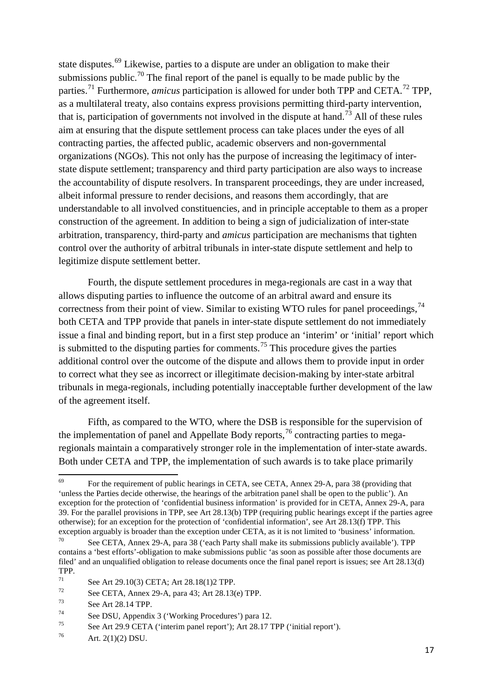state disputes.<sup>[69](#page-19-0)</sup> Likewise, parties to a dispute are under an obligation to make their submissions public.<sup>[70](#page-19-1)</sup> The final report of the panel is equally to be made public by the parties.<sup>[71](#page-19-2)</sup> Furthermore, *amicus* participation is allowed for under both TPP and CETA.<sup>[72](#page-19-3)</sup> TPP, as a multilateral treaty, also contains express provisions permitting third-party intervention, that is, participation of governments not involved in the dispute at hand.<sup>[73](#page-19-4)</sup> All of these rules aim at ensuring that the dispute settlement process can take places under the eyes of all contracting parties, the affected public, academic observers and non-governmental organizations (NGOs). This not only has the purpose of increasing the legitimacy of interstate dispute settlement; transparency and third party participation are also ways to increase the accountability of dispute resolvers. In transparent proceedings, they are under increased, albeit informal pressure to render decisions, and reasons them accordingly, that are understandable to all involved constituencies, and in principle acceptable to them as a proper construction of the agreement. In addition to being a sign of judicialization of inter-state arbitration, transparency, third-party and *amicus* participation are mechanisms that tighten control over the authority of arbitral tribunals in inter-state dispute settlement and help to legitimize dispute settlement better.

Fourth, the dispute settlement procedures in mega-regionals are cast in a way that allows disputing parties to influence the outcome of an arbitral award and ensure its correctness from their point of view. Similar to existing WTO rules for panel proceedings,  $^{74}$  $^{74}$  $^{74}$ both CETA and TPP provide that panels in inter-state dispute settlement do not immediately issue a final and binding report, but in a first step produce an 'interim' or 'initial' report which is submitted to the disputing parties for comments.<sup>[75](#page-19-6)</sup> This procedure gives the parties additional control over the outcome of the dispute and allows them to provide input in order to correct what they see as incorrect or illegitimate decision-making by inter-state arbitral tribunals in mega-regionals, including potentially inacceptable further development of the law of the agreement itself.

Fifth, as compared to the WTO, where the DSB is responsible for the supervision of the implementation of panel and Appellate Body reports,  $^{76}$  $^{76}$  $^{76}$  contracting parties to megaregionals maintain a comparatively stronger role in the implementation of inter-state awards. Both under CETA and TPP, the implementation of such awards is to take place primarily

<span id="page-19-0"></span><sup>69</sup> For the requirement of public hearings in CETA, see CETA, Annex 29-A, para 38 (providing that 'unless the Parties decide otherwise, the hearings of the arbitration panel shall be open to the public'). An exception for the protection of 'confidential business information' is provided for in CETA, Annex 29-A, para 39. For the parallel provisions in TPP, see Art 28.13(b) TPP (requiring public hearings except if the parties agree otherwise); for an exception for the protection of 'confidential information', see Art 28.13(f) TPP. This exception arguably is broader than the exception under CETA, as it is not limited to 'business' information.

<span id="page-19-1"></span> $70$  See CETA, Annex 29-A, para 38 ('each Party shall make its submissions publicly available'). TPP contains a 'best efforts'-obligation to make submissions public 'as soon as possible after those documents are filed' and an unqualified obligation to release documents once the final panel report is issues; see Art 28.13(d) TPP.<br> $71$ 

<span id="page-19-2"></span><sup>&</sup>lt;sup>71</sup> See Art 29.10(3) CETA; Art 28.18(1)2 TPP.<br>
See CETA, Annex 29, A. pers 42; Art 28.13(

<span id="page-19-3"></span> $^{72}$  See CETA, Annex 29-A, para 43; Art 28.13(e) TPP.<br> $^{73}$  See Art 28.14 TPP.

<span id="page-19-4"></span> $\frac{73}{74}$  See Art 28.14 TPP.

<span id="page-19-5"></span><sup>&</sup>lt;sup>74</sup> See DSU, Appendix 3 ('Working Procedures') para 12.<br><sup>75</sup> See Art 20 0 CETA ('interim papel report'): Art 28 17.7

<span id="page-19-6"></span><sup>&</sup>lt;sup>75</sup> See Art 29.9 CETA ('interim panel report'); Art 28.17 TPP ('initial report').

<span id="page-19-7"></span>Art.  $2(1)(2)$  DSU.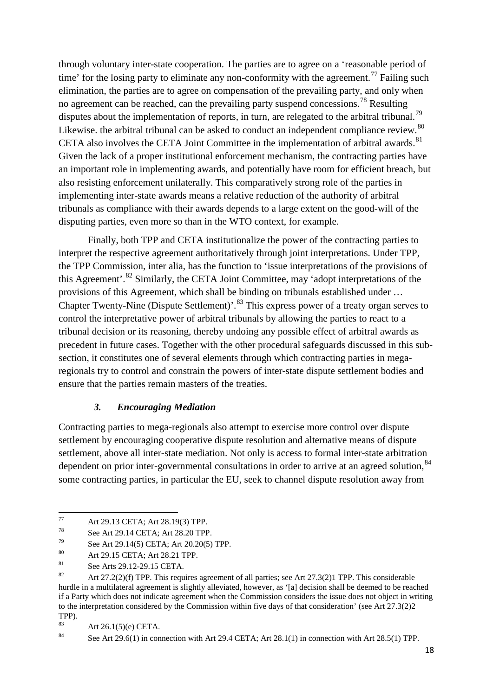through voluntary inter-state cooperation. The parties are to agree on a 'reasonable period of time' for the losing party to eliminate any non-conformity with the agreement.<sup>[77](#page-20-0)</sup> Failing such elimination, the parties are to agree on compensation of the prevailing party, and only when no agreement can be reached, can the prevailing party suspend concessions.<sup>[78](#page-20-1)</sup> Resulting disputes about the implementation of reports, in turn, are relegated to the arbitral tribunal.<sup>[79](#page-20-2)</sup> Likewise. the arbitral tribunal can be asked to conduct an independent compliance review.<sup>[80](#page-20-3)</sup> CETA also involves the CETA Joint Committee in the implementation of arbitral awards.<sup>[81](#page-20-4)</sup> Given the lack of a proper institutional enforcement mechanism, the contracting parties have an important role in implementing awards, and potentially have room for efficient breach, but also resisting enforcement unilaterally. This comparatively strong role of the parties in implementing inter-state awards means a relative reduction of the authority of arbitral tribunals as compliance with their awards depends to a large extent on the good-will of the disputing parties, even more so than in the WTO context, for example.

Finally, both TPP and CETA institutionalize the power of the contracting parties to interpret the respective agreement authoritatively through joint interpretations. Under TPP, the TPP Commission, inter alia, has the function to 'issue interpretations of the provisions of this Agreement'.[82](#page-20-5) Similarly, the CETA Joint Committee, may 'adopt interpretations of the provisions of this Agreement, which shall be binding on tribunals established under … Chapter Twenty-Nine (Dispute Settlement)'.<sup>[83](#page-20-6)</sup> This express power of a treaty organ serves to control the interpretative power of arbitral tribunals by allowing the parties to react to a tribunal decision or its reasoning, thereby undoing any possible effect of arbitral awards as precedent in future cases. Together with the other procedural safeguards discussed in this subsection, it constitutes one of several elements through which contracting parties in megaregionals try to control and constrain the powers of inter-state dispute settlement bodies and ensure that the parties remain masters of the treaties.

#### *3. Encouraging Mediation*

Contracting parties to mega-regionals also attempt to exercise more control over dispute settlement by encouraging cooperative dispute resolution and alternative means of dispute settlement, above all inter-state mediation. Not only is access to formal inter-state arbitration dependent on prior inter-governmental consultations in order to arrive at an agreed solution.<sup>[84](#page-20-7)</sup> some contracting parties, in particular the EU, seek to channel dispute resolution away from

<span id="page-20-0"></span><sup>77</sup> Art 29.13 CETA; Art 28.19(3) TPP.

See Art 29.14 CETA; Art 28.20 TPP.

<span id="page-20-2"></span><span id="page-20-1"></span> $^{79}$  See Art 29.14(5) CETA; Art 20.20(5) TPP.

<span id="page-20-3"></span><sup>80</sup> Art 29.15 CETA; Art 28.21 TPP.

<span id="page-20-4"></span><sup>81</sup> See Arts 29.12-29.15 CETA.

<span id="page-20-5"></span><sup>82</sup> Art 27.2(2)(f) TPP. This requires agreement of all parties; see Art 27.3(2)1 TPP. This considerable hurdle in a multilateral agreement is slightly alleviated, however, as '[a] decision shall be deemed to be reached if a Party which does not indicate agreement when the Commission considers the issue does not object in writing to the interpretation considered by the Commission within five days of that consideration' (see Art 27.3(2)2 TPP $)$ .

<span id="page-20-6"></span><sup>&</sup>lt;sup>83</sup> Art 26.1(5)(e) CETA.<br><sup>84</sup> See Art 20.6(1) in son

<span id="page-20-7"></span>See Art  $29.6(1)$  in connection with Art  $29.4$  CETA; Art  $28.1(1)$  in connection with Art  $28.5(1)$  TPP.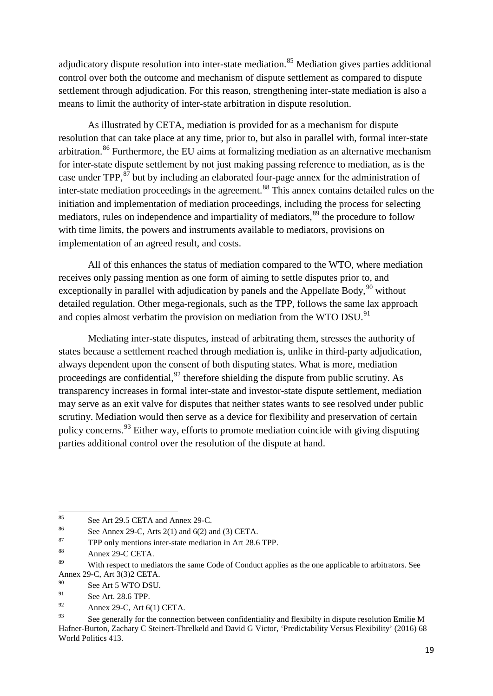adjudicatory dispute resolution into inter-state mediation.<sup>[85](#page-21-0)</sup> Mediation gives parties additional control over both the outcome and mechanism of dispute settlement as compared to dispute settlement through adjudication. For this reason, strengthening inter-state mediation is also a means to limit the authority of inter-state arbitration in dispute resolution.

As illustrated by CETA, mediation is provided for as a mechanism for dispute resolution that can take place at any time, prior to, but also in parallel with, formal inter-state arbitration.<sup>[86](#page-21-1)</sup> Furthermore, the EU aims at formalizing mediation as an alternative mechanism for inter-state dispute settlement by not just making passing reference to mediation, as is the case under TPP,<sup>[87](#page-21-2)</sup> but by including an elaborated four-page annex for the administration of inter-state mediation proceedings in the agreement.<sup>[88](#page-21-3)</sup> This annex contains detailed rules on the initiation and implementation of mediation proceedings, including the process for selecting mediators, rules on independence and impartiality of mediators,<sup>[89](#page-21-4)</sup> the procedure to follow with time limits, the powers and instruments available to mediators, provisions on implementation of an agreed result, and costs.

All of this enhances the status of mediation compared to the WTO, where mediation receives only passing mention as one form of aiming to settle disputes prior to, and exceptionally in parallel with adjudication by panels and the Appellate Body,  $90$  without detailed regulation. Other mega-regionals, such as the TPP, follows the same lax approach and copies almost verbatim the provision on mediation from the WTO DSU.<sup>[91](#page-21-6)</sup>

Mediating inter-state disputes, instead of arbitrating them, stresses the authority of states because a settlement reached through mediation is, unlike in third-party adjudication, always dependent upon the consent of both disputing states. What is more, mediation proceedings are confidential,  $92$  therefore shielding the dispute from public scrutiny. As transparency increases in formal inter-state and investor-state dispute settlement, mediation may serve as an exit valve for disputes that neither states wants to see resolved under public scrutiny. Mediation would then serve as a device for flexibility and preservation of certain policy concerns.  $93$  Either way, efforts to promote mediation coincide with giving disputing parties additional control over the resolution of the dispute at hand.

<span id="page-21-0"></span><sup>&</sup>lt;sup>85</sup> See Art 29.5 CETA and Annex 29-C.

<span id="page-21-1"></span><sup>&</sup>lt;sup>86</sup> See Annex 29-C, Arts 2(1) and 6(2) and (3) CETA.<br><sup>87</sup> TPD only montions into state modiation in Art 28.6

<span id="page-21-2"></span>TPP only mentions inter-state mediation in Art 28.6 TPP.

<span id="page-21-3"></span> $88$  Annex 29-C CETA.

<span id="page-21-4"></span>With respect to mediators the same Code of Conduct applies as the one applicable to arbitrators. See Annex 29-C, Art 3(3)2 CETA.

<span id="page-21-5"></span> $^{90}$  See Art 5 WTO DSU.

<span id="page-21-6"></span><sup>&</sup>lt;sup>91</sup> See Art. 28.6 TPP.

Annex 29-C, Art 6(1) CETA.

<span id="page-21-8"></span><span id="page-21-7"></span><sup>&</sup>lt;sup>93</sup> See generally for the connection between confidentiality and flexibilty in dispute resolution Emilie M Hafner-Burton, Zachary C Steinert-Threlkeld and David G Victor, 'Predictability Versus Flexibility' (2016) 68 World Politics 413.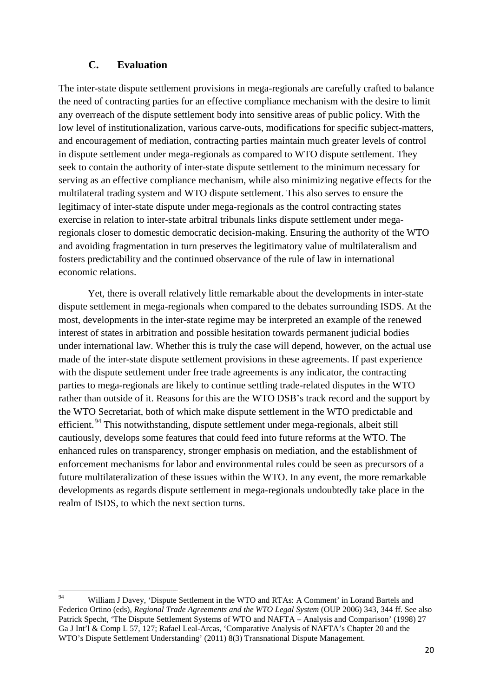#### **C. Evaluation**

The inter-state dispute settlement provisions in mega-regionals are carefully crafted to balance the need of contracting parties for an effective compliance mechanism with the desire to limit any overreach of the dispute settlement body into sensitive areas of public policy. With the low level of institutionalization, various carve-outs, modifications for specific subject-matters, and encouragement of mediation, contracting parties maintain much greater levels of control in dispute settlement under mega-regionals as compared to WTO dispute settlement. They seek to contain the authority of inter-state dispute settlement to the minimum necessary for serving as an effective compliance mechanism, while also minimizing negative effects for the multilateral trading system and WTO dispute settlement. This also serves to ensure the legitimacy of inter-state dispute under mega-regionals as the control contracting states exercise in relation to inter-state arbitral tribunals links dispute settlement under megaregionals closer to domestic democratic decision-making. Ensuring the authority of the WTO and avoiding fragmentation in turn preserves the legitimatory value of multilateralism and fosters predictability and the continued observance of the rule of law in international economic relations.

Yet, there is overall relatively little remarkable about the developments in inter-state dispute settlement in mega-regionals when compared to the debates surrounding ISDS. At the most, developments in the inter-state regime may be interpreted an example of the renewed interest of states in arbitration and possible hesitation towards permanent judicial bodies under international law. Whether this is truly the case will depend, however, on the actual use made of the inter-state dispute settlement provisions in these agreements. If past experience with the dispute settlement under free trade agreements is any indicator, the contracting parties to mega-regionals are likely to continue settling trade-related disputes in the WTO rather than outside of it. Reasons for this are the WTO DSB's track record and the support by the WTO Secretariat, both of which make dispute settlement in the WTO predictable and efficient.<sup>[94](#page-22-0)</sup> This notwithstanding, dispute settlement under mega-regionals, albeit still cautiously, develops some features that could feed into future reforms at the WTO. The enhanced rules on transparency, stronger emphasis on mediation, and the establishment of enforcement mechanisms for labor and environmental rules could be seen as precursors of a future multilateralization of these issues within the WTO. In any event, the more remarkable developments as regards dispute settlement in mega-regionals undoubtedly take place in the realm of ISDS, to which the next section turns.

<span id="page-22-0"></span><sup>&</sup>lt;sup>94</sup> William J Davey, 'Dispute Settlement in the WTO and RTAs: A Comment' in Lorand Bartels and Federico Ortino (eds), *Regional Trade Agreements and the WTO Legal System* (OUP 2006) 343, 344 ff. See also Patrick Specht, 'The Dispute Settlement Systems of WTO and NAFTA – Analysis and Comparison' (1998) 27 Ga J Int'l & Comp L 57, 127; Rafael Leal-Arcas, 'Comparative Analysis of NAFTA's Chapter 20 and the WTO's Dispute Settlement Understanding' (2011) 8(3) Transnational Dispute Management.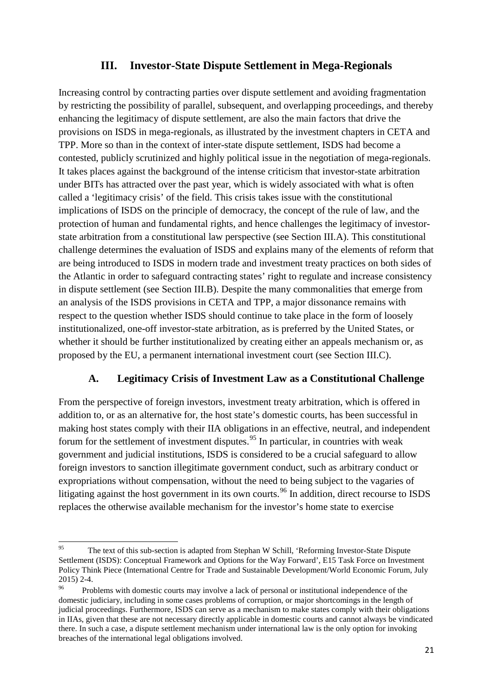### **III. Investor-State Dispute Settlement in Mega-Regionals**

Increasing control by contracting parties over dispute settlement and avoiding fragmentation by restricting the possibility of parallel, subsequent, and overlapping proceedings, and thereby enhancing the legitimacy of dispute settlement, are also the main factors that drive the provisions on ISDS in mega-regionals, as illustrated by the investment chapters in CETA and TPP. More so than in the context of inter-state dispute settlement, ISDS had become a contested, publicly scrutinized and highly political issue in the negotiation of mega-regionals. It takes places against the background of the intense criticism that investor-state arbitration under BITs has attracted over the past year, which is widely associated with what is often called a 'legitimacy crisis' of the field. This crisis takes issue with the constitutional implications of ISDS on the principle of democracy, the concept of the rule of law, and the protection of human and fundamental rights, and hence challenges the legitimacy of investorstate arbitration from a constitutional law perspective (see Section III.A). This constitutional challenge determines the evaluation of ISDS and explains many of the elements of reform that are being introduced to ISDS in modern trade and investment treaty practices on both sides of the Atlantic in order to safeguard contracting states' right to regulate and increase consistency in dispute settlement (see Section III.B). Despite the many commonalities that emerge from an analysis of the ISDS provisions in CETA and TPP, a major dissonance remains with respect to the question whether ISDS should continue to take place in the form of loosely institutionalized, one-off investor-state arbitration, as is preferred by the United States, or whether it should be further institutionalized by creating either an appeals mechanism or, as proposed by the EU, a permanent international investment court (see Section III.C).

### **A. Legitimacy Crisis of Investment Law as a Constitutional Challenge**

From the perspective of foreign investors, investment treaty arbitration, which is offered in addition to, or as an alternative for, the host state's domestic courts, has been successful in making host states comply with their IIA obligations in an effective, neutral, and independent forum for the settlement of investment disputes.<sup>[95](#page-23-0)</sup> In particular, in countries with weak government and judicial institutions, ISDS is considered to be a crucial safeguard to allow foreign investors to sanction illegitimate government conduct, such as arbitrary conduct or expropriations without compensation, without the need to being subject to the vagaries of litigating against the host government in its own courts.<sup>[96](#page-23-1)</sup> In addition, direct recourse to ISDS replaces the otherwise available mechanism for the investor's home state to exercise

<span id="page-23-0"></span><sup>&</sup>lt;sup>95</sup> The text of this sub-section is adapted from Stephan W Schill, 'Reforming Investor-State Dispute Settlement (ISDS): Conceptual Framework and Options for the Way Forward', E15 Task Force on Investment Policy Think Piece (International Centre for Trade and Sustainable Development/World Economic Forum, July 2015) 2-4.

<span id="page-23-1"></span>Problems with domestic courts may involve a lack of personal or institutional independence of the domestic judiciary, including in some cases problems of corruption, or major shortcomings in the length of judicial proceedings. Furthermore, ISDS can serve as a mechanism to make states comply with their obligations in IIAs, given that these are not necessary directly applicable in domestic courts and cannot always be vindicated there. In such a case, a dispute settlement mechanism under international law is the only option for invoking breaches of the international legal obligations involved.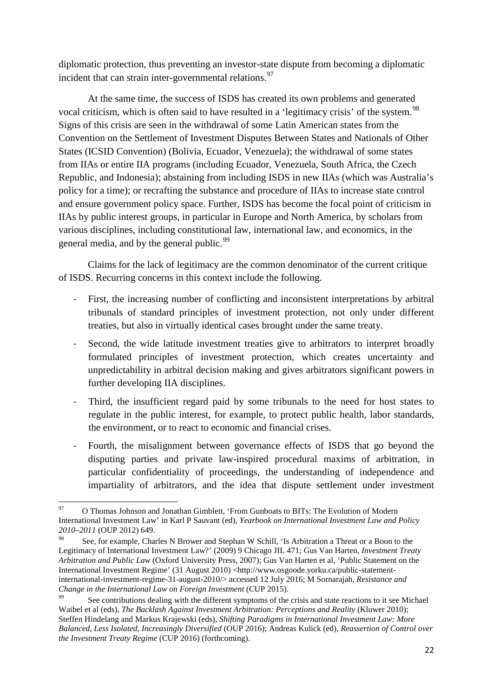diplomatic protection, thus preventing an investor-state dispute from becoming a diplomatic incident that can strain inter-governmental relations. $97$ 

At the same time, the success of ISDS has created its own problems and generated vocal criticism, which is often said to have resulted in a 'legitimacy crisis' of the system.<sup>[98](#page-24-1)</sup> Signs of this crisis are seen in the withdrawal of some Latin American states from the Convention on the Settlement of Investment Disputes Between States and Nationals of Other States (ICSID Convention) (Bolivia, Ecuador, Venezuela); the withdrawal of some states from IIAs or entire IIA programs (including Ecuador, Venezuela, South Africa, the Czech Republic, and Indonesia); abstaining from including ISDS in new IIAs (which was Australia's policy for a time); or recrafting the substance and procedure of IIAs to increase state control and ensure government policy space. Further, ISDS has become the focal point of criticism in IIAs by public interest groups, in particular in Europe and North America, by scholars from various disciplines, including constitutional law, international law, and economics, in the general media, and by the general public.<sup>[99](#page-24-2)</sup>

Claims for the lack of legitimacy are the common denominator of the current critique of ISDS. Recurring concerns in this context include the following.

- First, the increasing number of conflicting and inconsistent interpretations by arbitral tribunals of standard principles of investment protection, not only under different treaties, but also in virtually identical cases brought under the same treaty.
- Second, the wide latitude investment treaties give to arbitrators to interpret broadly formulated principles of investment protection, which creates uncertainty and unpredictability in arbitral decision making and gives arbitrators significant powers in further developing IIA disciplines.
- Third, the insufficient regard paid by some tribunals to the need for host states to regulate in the public interest, for example, to protect public health, labor standards, the environment, or to react to economic and financial crises.
- Fourth, the misalignment between governance effects of ISDS that go beyond the disputing parties and private law-inspired procedural maxims of arbitration, in particular confidentiality of proceedings, the understanding of independence and impartiality of arbitrators, and the idea that dispute settlement under investment

<span id="page-24-0"></span><sup>&</sup>lt;sup>97</sup> O Thomas Johnson and Jonathan Gimblett, 'From Gunboats to BITs: The Evolution of Modern International Investment Law' in Karl P Sauvant (ed), *Yearbook on International Investment Law and Policy 2010–2011* (OUP 2012) 649.

<span id="page-24-1"></span>See, for example, Charles N Brower and Stephan W Schill, 'Is Arbitration a Threat or a Boon to the Legitimacy of International Investment Law?' (2009) 9 Chicago JIL 471; Gus Van Harten, *Investment Treaty Arbitration and Public Law* (Oxford University Press, 2007); Gus Van Harten et al, 'Public Statement on the International Investment Regime' (31 August 2010) <http://www.osgoode.yorku.ca/public-statementinternational-investment-regime-31-august-2010/> accessed 12 July 2016; M Sornarajah, *Resistance and Change in the International Law on Foreign Investment* (CUP 2015).

<span id="page-24-2"></span>See contributions dealing with the different symptoms of the crisis and state reactions to it see Michael Waibel et al (eds), *The Backlash Against Investment Arbitration: Perceptions and Reality* (Kluwer 2010); Steffen Hindelang and Markus Krajewski (eds), *Shifting Paradigms in International Investment Law: More Balanced, Less Isolated, Increasingly Diversified* (OUP 2016); Andreas Kulick (ed), *Reassertion of Control over the Investment Treaty Regime* (CUP 2016) (forthcoming).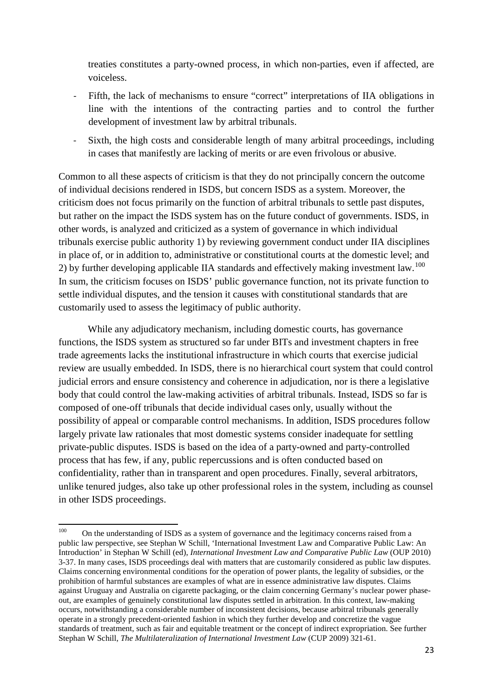treaties constitutes a party-owned process, in which non-parties, even if affected, are voiceless.

- Fifth, the lack of mechanisms to ensure "correct" interpretations of IIA obligations in line with the intentions of the contracting parties and to control the further development of investment law by arbitral tribunals.
- Sixth, the high costs and considerable length of many arbitral proceedings, including in cases that manifestly are lacking of merits or are even frivolous or abusive.

Common to all these aspects of criticism is that they do not principally concern the outcome of individual decisions rendered in ISDS, but concern ISDS as a system. Moreover, the criticism does not focus primarily on the function of arbitral tribunals to settle past disputes, but rather on the impact the ISDS system has on the future conduct of governments. ISDS, in other words, is analyzed and criticized as a system of governance in which individual tribunals exercise public authority 1) by reviewing government conduct under IIA disciplines in place of, or in addition to, administrative or constitutional courts at the domestic level; and 2) by further developing applicable IIA standards and effectively making investment law.<sup>[100](#page-25-0)</sup> In sum, the criticism focuses on ISDS' public governance function, not its private function to settle individual disputes, and the tension it causes with constitutional standards that are customarily used to assess the legitimacy of public authority.

While any adjudicatory mechanism, including domestic courts, has governance functions, the ISDS system as structured so far under BITs and investment chapters in free trade agreements lacks the institutional infrastructure in which courts that exercise judicial review are usually embedded. In ISDS, there is no hierarchical court system that could control judicial errors and ensure consistency and coherence in adjudication, nor is there a legislative body that could control the law-making activities of arbitral tribunals. Instead, ISDS so far is composed of one-off tribunals that decide individual cases only, usually without the possibility of appeal or comparable control mechanisms. In addition, ISDS procedures follow largely private law rationales that most domestic systems consider inadequate for settling private-public disputes. ISDS is based on the idea of a party-owned and party-controlled process that has few, if any, public repercussions and is often conducted based on confidentiality, rather than in transparent and open procedures. Finally, several arbitrators, unlike tenured judges, also take up other professional roles in the system, including as counsel in other ISDS proceedings.

<span id="page-25-0"></span><sup>&</sup>lt;sup>100</sup> On the understanding of ISDS as a system of governance and the legitimacy concerns raised from a public law perspective, see Stephan W Schill, 'International Investment Law and Comparative Public Law: An Introduction' in Stephan W Schill (ed), *International Investment Law and Comparative Public Law* (OUP 2010) 3-37. In many cases, ISDS proceedings deal with matters that are customarily considered as public law disputes. Claims concerning environmental conditions for the operation of power plants, the legality of subsidies, or the prohibition of harmful substances are examples of what are in essence administrative law disputes. Claims against Uruguay and Australia on cigarette packaging, or the claim concerning Germany's nuclear power phaseout, are examples of genuinely constitutional law disputes settled in arbitration. In this context, law-making occurs, notwithstanding a considerable number of inconsistent decisions, because arbitral tribunals generally operate in a strongly precedent-oriented fashion in which they further develop and concretize the vague standards of treatment, such as fair and equitable treatment or the concept of indirect expropriation. See further Stephan W Schill, *The Multilateralization of International Investment Law* (CUP 2009) 321-61.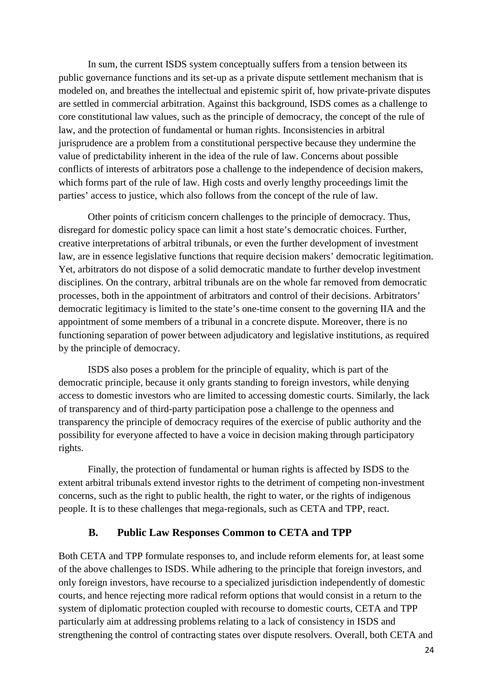In sum, the current ISDS system conceptually suffers from a tension between its public governance functions and its set-up as a private dispute settlement mechanism that is modeled on, and breathes the intellectual and epistemic spirit of, how private-private disputes are settled in commercial arbitration. Against this background, ISDS comes as a challenge to core constitutional law values, such as the principle of democracy, the concept of the rule of law, and the protection of fundamental or human rights. Inconsistencies in arbitral jurisprudence are a problem from a constitutional perspective because they undermine the value of predictability inherent in the idea of the rule of law. Concerns about possible conflicts of interests of arbitrators pose a challenge to the independence of decision makers, which forms part of the rule of law. High costs and overly lengthy proceedings limit the parties' access to justice, which also follows from the concept of the rule of law.

Other points of criticism concern challenges to the principle of democracy. Thus, disregard for domestic policy space can limit a host state's democratic choices. Further, creative interpretations of arbitral tribunals, or even the further development of investment law, are in essence legislative functions that require decision makers' democratic legitimation. Yet, arbitrators do not dispose of a solid democratic mandate to further develop investment disciplines. On the contrary, arbitral tribunals are on the whole far removed from democratic processes, both in the appointment of arbitrators and control of their decisions. Arbitrators' democratic legitimacy is limited to the state's one-time consent to the governing IIA and the appointment of some members of a tribunal in a concrete dispute. Moreover, there is no functioning separation of power between adjudicatory and legislative institutions, as required by the principle of democracy.

ISDS also poses a problem for the principle of equality, which is part of the democratic principle, because it only grants standing to foreign investors, while denying access to domestic investors who are limited to accessing domestic courts. Similarly, the lack of transparency and of third-party participation pose a challenge to the openness and transparency the principle of democracy requires of the exercise of public authority and the possibility for everyone affected to have a voice in decision making through participatory rights.

Finally, the protection of fundamental or human rights is affected by ISDS to the extent arbitral tribunals extend investor rights to the detriment of competing non-investment concerns, such as the right to public health, the right to water, or the rights of indigenous people. It is to these challenges that mega-regionals, such as CETA and TPP, react.

#### **B. Public Law Responses Common to CETA and TPP**

Both CETA and TPP formulate responses to, and include reform elements for, at least some of the above challenges to ISDS. While adhering to the principle that foreign investors, and only foreign investors, have recourse to a specialized jurisdiction independently of domestic courts, and hence rejecting more radical reform options that would consist in a return to the system of diplomatic protection coupled with recourse to domestic courts, CETA and TPP particularly aim at addressing problems relating to a lack of consistency in ISDS and strengthening the control of contracting states over dispute resolvers. Overall, both CETA and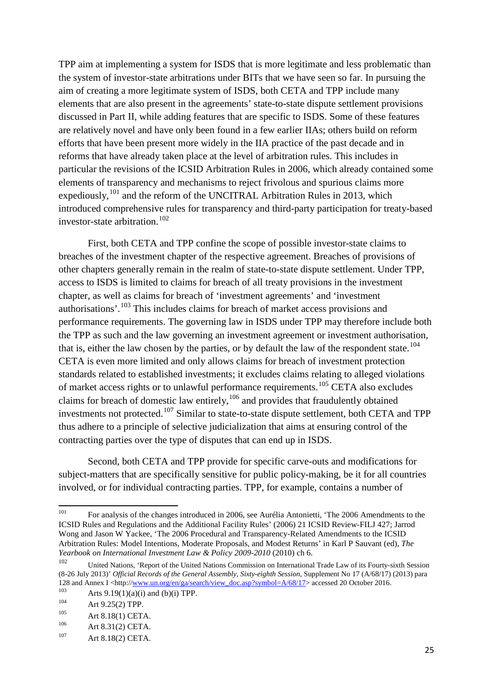TPP aim at implementing a system for ISDS that is more legitimate and less problematic than the system of investor-state arbitrations under BITs that we have seen so far. In pursuing the aim of creating a more legitimate system of ISDS, both CETA and TPP include many elements that are also present in the agreements' state-to-state dispute settlement provisions discussed in Part II, while adding features that are specific to ISDS. Some of these features are relatively novel and have only been found in a few earlier IIAs; others build on reform efforts that have been present more widely in the IIA practice of the past decade and in reforms that have already taken place at the level of arbitration rules. This includes in particular the revisions of the ICSID Arbitration Rules in 2006, which already contained some elements of transparency and mechanisms to reject frivolous and spurious claims more expediously, <sup>[101](#page-27-0)</sup> and the reform of the UNCITRAL Arbitration Rules in 2013, which introduced comprehensive rules for transparency and third-party participation for treaty-based investor-state arbitration.<sup>[102](#page-27-1)</sup>

First, both CETA and TPP confine the scope of possible investor-state claims to breaches of the investment chapter of the respective agreement. Breaches of provisions of other chapters generally remain in the realm of state-to-state dispute settlement. Under TPP, access to ISDS is limited to claims for breach of all treaty provisions in the investment chapter, as well as claims for breach of 'investment agreements' and 'investment authorisations'.[103](#page-27-2) This includes claims for breach of market access provisions and performance requirements. The governing law in ISDS under TPP may therefore include both the TPP as such and the law governing an investment agreement or investment authorisation, that is, either the law chosen by the parties, or by default the law of the respondent state.<sup>[104](#page-27-3)</sup> CETA is even more limited and only allows claims for breach of investment protection standards related to established investments; it excludes claims relating to alleged violations of market access rights or to unlawful performance requirements.[105](#page-27-4) CETA also excludes claims for breach of domestic law entirely,  $106$  and provides that fraudulently obtained investments not protected.[107](#page-27-6) Similar to state-to-state dispute settlement, both CETA and TPP thus adhere to a principle of selective judicialization that aims at ensuring control of the contracting parties over the type of disputes that can end up in ISDS.

Second, both CETA and TPP provide for specific carve-outs and modifications for subject-matters that are specifically sensitive for public policy-making, be it for all countries involved, or for individual contracting parties. TPP, for example, contains a number of

<span id="page-27-0"></span><sup>&</sup>lt;sup>101</sup> For analysis of the changes introduced in 2006, see Aurélia Antonietti, 'The 2006 Amendments to the ICSID Rules and Regulations and the Additional Facility Rules' (2006) 21 ICSID Review-FILJ 427; Jarrod Wong and Jason W Yackee, 'The 2006 Procedural and Transparency-Related Amendments to the ICSID Arbitration Rules: Model Intentions, Moderate Proposals, and Modest Returns' in Karl P Sauvant (ed), *The Yearbook on International Investment Law & Policy 2009-2010* (2010) ch 6.

<span id="page-27-1"></span><sup>102</sup> United Nations, 'Report of the United Nations Commission on International Trade Law of its Fourty-sixth Session (8-26 July 2013)' *Official Records of the General Assembly, Sixty-eighth Session*, Supplement No 17 (A/68/17) (2013) para 128 and Annex I <http://<u>www.un.org/en/ga/search/view\_doc.asp?symbol=A/68/17</u>> accessed 20 October 2016.<br><sup>103</sup>

<span id="page-27-2"></span><sup>&</sup>lt;sup>103</sup> Arts 9.19(1)(a)(i) and (b)(i) TPP.

<span id="page-27-3"></span><sup>104</sup> Art 9.25(2) TPP.

<span id="page-27-4"></span><sup>&</sup>lt;sup>105</sup> Art 8.18(1) CETA.

<span id="page-27-5"></span><sup>106</sup> Art 8.31(2) CETA.<br>107 Art 8.18(2) CETA.

<span id="page-27-6"></span>Art 8.18(2) CETA.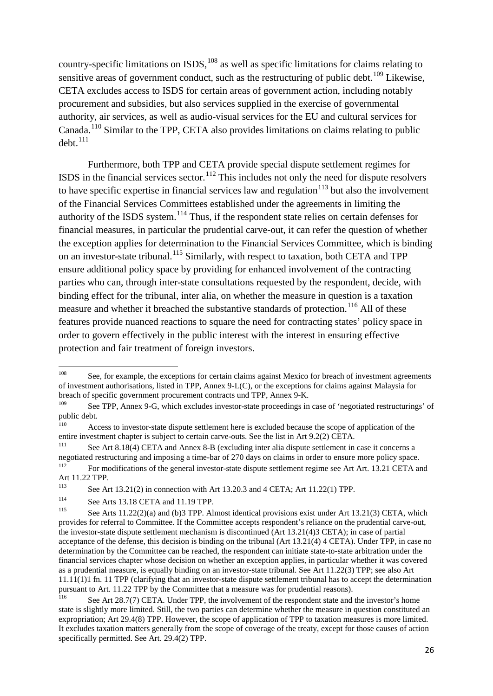country-specific limitations on ISDS, <sup>[108](#page-28-0)</sup> as well as specific limitations for claims relating to sensitive areas of government conduct, such as the restructuring of public debt.<sup>[109](#page-28-1)</sup> Likewise, CETA excludes access to ISDS for certain areas of government action, including notably procurement and subsidies, but also services supplied in the exercise of governmental authority, air services, as well as audio-visual services for the EU and cultural services for Canada.[110](#page-28-2) Similar to the TPP, CETA also provides limitations on claims relating to public  $debt$ <sup>[111](#page-28-3)</sup>

Furthermore, both TPP and CETA provide special dispute settlement regimes for ISDS in the financial services sector.<sup>[112](#page-28-4)</sup> This includes not only the need for dispute resolvers to have specific expertise in financial services law and regulation<sup>[113](#page-28-5)</sup> but also the involvement of the Financial Services Committees established under the agreements in limiting the authority of the ISDS system.<sup>[114](#page-28-6)</sup> Thus, if the respondent state relies on certain defenses for financial measures, in particular the prudential carve-out, it can refer the question of whether the exception applies for determination to the Financial Services Committee, which is binding on an investor-state tribunal.<sup>[115](#page-28-7)</sup> Similarly, with respect to taxation, both CETA and TPP ensure additional policy space by providing for enhanced involvement of the contracting parties who can, through inter-state consultations requested by the respondent, decide, with binding effect for the tribunal, inter alia, on whether the measure in question is a taxation measure and whether it breached the substantive standards of protection.<sup>[116](#page-28-8)</sup> All of these features provide nuanced reactions to square the need for contracting states' policy space in order to govern effectively in the public interest with the interest in ensuring effective protection and fair treatment of foreign investors.

<span id="page-28-0"></span><sup>&</sup>lt;sup>108</sup> See, for example, the exceptions for certain claims against Mexico for breach of investment agreements of investment authorisations, listed in TPP, Annex 9-L(C), or the exceptions for claims against Malaysia for breach of specific government procurement contracts und TPP, Annex 9-K.<br><sup>109</sup>

<span id="page-28-1"></span>See TPP, Annex 9-G, which excludes investor-state proceedings in case of 'negotiated restructurings' of public debt.

<span id="page-28-2"></span>Access to investor-state dispute settlement here is excluded because the scope of application of the entire investment chapter is subject to certain carve-outs. See the list in Art 9.2(2) CETA.

<span id="page-28-3"></span><sup>&</sup>lt;sup>111</sup> See Art 8.18(4) CETA and Annex 8-B (excluding inter alia dispute settlement in case it concerns a negotiated restructuring and imposing a time-bar of 270 days on claims in order to ensure more policy space.<br><sup>112</sup> For modifications of the general investor state dispute settlement regime see Art Art 13.21 CETA at <sup>112</sup> For modifications of the general investor-state dispute settlement regime see Art Art. 13.21 CETA and Art 11.22 TPP.

<span id="page-28-5"></span><span id="page-28-4"></span><sup>113</sup> See Art 13.21(2) in connection with Art 13.20.3 and 4 CETA; Art 11.22(1) TPP.

<sup>114</sup> See Arts 13.18 CETA and 11.19 TPP.<br>
See Arts 11.22(2)(a) and (b)2 TPP. A1.

<span id="page-28-7"></span><span id="page-28-6"></span>See Arts  $11.22(2)(a)$  and (b)3 TPP. Almost identical provisions exist under Art 13.21(3) CETA, which provides for referral to Committee. If the Committee accepts respondent's reliance on the prudential carve-out, the investor-state dispute settlement mechanism is discontinued (Art 13.21(4)3 CETA); in case of partial acceptance of the defense, this decision is binding on the tribunal (Art 13.21(4) 4 CETA). Under TPP, in case no determination by the Committee can be reached, the respondent can initiate state-to-state arbitration under the financial services chapter whose decision on whether an exception applies, in particular whether it was covered as a prudential measure, is equally binding on an investor-state tribunal. See Art 11.22(3) TPP; see also Art 11.11(1)1 fn. 11 TPP (clarifying that an investor-state dispute settlement tribunal has to accept the determination pursuant to Art. 11.22 TPP by the Committee that a measure was for prudential reasons).

<span id="page-28-8"></span>See Art 28.7(7) CETA. Under TPP, the involvement of the respondent state and the investor's home state is slightly more limited. Still, the two parties can determine whether the measure in question constituted an expropriation; Art 29.4(8) TPP. However, the scope of application of TPP to taxation measures is more limited. It excludes taxation matters generally from the scope of coverage of the treaty, except for those causes of action specifically permitted. See Art. 29.4(2) TPP.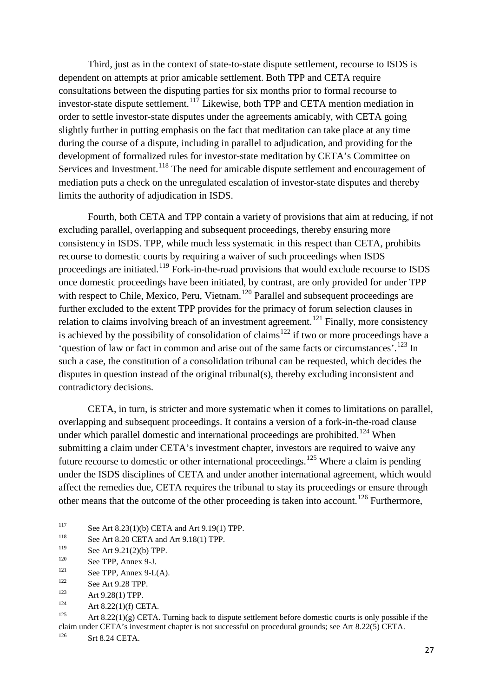Third, just as in the context of state-to-state dispute settlement, recourse to ISDS is dependent on attempts at prior amicable settlement. Both TPP and CETA require consultations between the disputing parties for six months prior to formal recourse to investor-state dispute settlement.<sup>[117](#page-29-0)</sup> Likewise, both TPP and CETA mention mediation in order to settle investor-state disputes under the agreements amicably, with CETA going slightly further in putting emphasis on the fact that meditation can take place at any time during the course of a dispute, including in parallel to adjudication, and providing for the development of formalized rules for investor-state meditation by CETA's Committee on Services and Investment.<sup>[118](#page-29-1)</sup> The need for amicable dispute settlement and encouragement of mediation puts a check on the unregulated escalation of investor-state disputes and thereby limits the authority of adjudication in ISDS.

Fourth, both CETA and TPP contain a variety of provisions that aim at reducing, if not excluding parallel, overlapping and subsequent proceedings, thereby ensuring more consistency in ISDS. TPP, while much less systematic in this respect than CETA, prohibits recourse to domestic courts by requiring a waiver of such proceedings when ISDS proceedings are initiated.<sup>[119](#page-29-2)</sup> Fork-in-the-road provisions that would exclude recourse to ISDS once domestic proceedings have been initiated, by contrast, are only provided for under TPP with respect to Chile, Mexico, Peru, Vietnam.<sup>[120](#page-29-3)</sup> Parallel and subsequent proceedings are further excluded to the extent TPP provides for the primacy of forum selection clauses in relation to claims involving breach of an investment agreement.<sup>[121](#page-29-4)</sup> Finally, more consistency is achieved by the possibility of consolidation of claims<sup>[122](#page-29-5)</sup> if two or more proceedings have a 'question of law or fact in common and arise out of the same facts or circumstances'.<sup>[123](#page-29-6)</sup> In such a case, the constitution of a consolidation tribunal can be requested, which decides the disputes in question instead of the original tribunal(s), thereby excluding inconsistent and contradictory decisions.

CETA, in turn, is stricter and more systematic when it comes to limitations on parallel, overlapping and subsequent proceedings. It contains a version of a fork-in-the-road clause under which parallel domestic and international proceedings are prohibited.<sup>[124](#page-29-7)</sup> When submitting a claim under CETA's investment chapter, investors are required to waive any future recourse to domestic or other international proceedings.<sup>[125](#page-29-8)</sup> Where a claim is pending under the ISDS disciplines of CETA and under another international agreement, which would affect the remedies due, CETA requires the tribunal to stay its proceedings or ensure through other means that the outcome of the other proceeding is taken into account.<sup>[126](#page-29-9)</sup> Furthermore,

See TPP, Annex 9-L(A).

<span id="page-29-8"></span>Art  $8.22(1)(g)$  CETA. Turning back to dispute settlement before domestic courts is only possible if the claim under CETA's investment chapter is not successful on procedural grounds; see Art 8.22(5) CETA.<br><sup>126</sup>

<span id="page-29-9"></span>Srt 8.24 CETA.

<span id="page-29-0"></span><sup>&</sup>lt;sup>117</sup> See Art 8.23(1)(b) CETA and Art 9.19(1) TPP.<br><sup>118</sup>

<span id="page-29-1"></span><sup>&</sup>lt;sup>118</sup> See Art 8.20 CETA and Art 9.18(1) TPP.<br><sup>119</sup> See Art 0.21(2)(b) TPP.

<span id="page-29-2"></span><sup>&</sup>lt;sup>119</sup> See Art 9.21(2)(b) TPP.<br><sup>120</sup> See TPP. Arror 0.1

<span id="page-29-3"></span> $120$  See TPP, Annex 9-J.

<span id="page-29-5"></span><span id="page-29-4"></span> $\frac{122}{123}$  See Art 9.28 TPP.

<span id="page-29-6"></span><sup>&</sup>lt;sup>123</sup> Art 9.28(1) TPP.

<span id="page-29-7"></span><sup>124</sup> Art 8.22(1)(f) CETA.<br>125 Art 8.22(1)(c) CETA.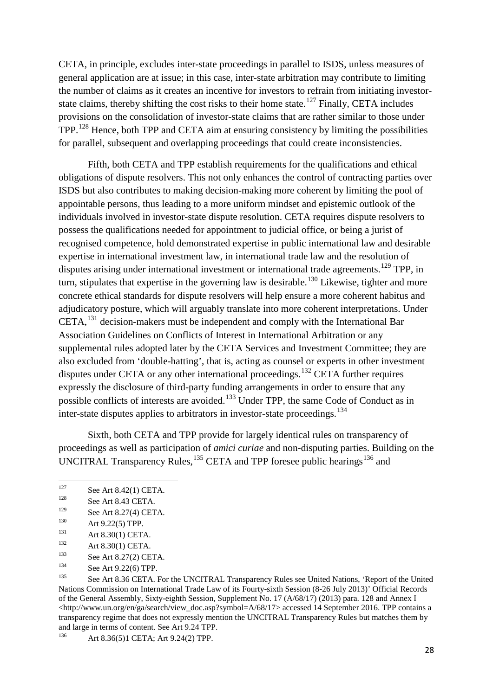CETA, in principle, excludes inter-state proceedings in parallel to ISDS, unless measures of general application are at issue; in this case, inter-state arbitration may contribute to limiting the number of claims as it creates an incentive for investors to refrain from initiating investor-state claims, thereby shifting the cost risks to their home state.<sup>[127](#page-30-0)</sup> Finally, CETA includes provisions on the consolidation of investor-state claims that are rather similar to those under TPP.[128](#page-30-1) Hence, both TPP and CETA aim at ensuring consistency by limiting the possibilities for parallel, subsequent and overlapping proceedings that could create inconsistencies.

Fifth, both CETA and TPP establish requirements for the qualifications and ethical obligations of dispute resolvers. This not only enhances the control of contracting parties over ISDS but also contributes to making decision-making more coherent by limiting the pool of appointable persons, thus leading to a more uniform mindset and epistemic outlook of the individuals involved in investor-state dispute resolution. CETA requires dispute resolvers to possess the qualifications needed for appointment to judicial office, or being a jurist of recognised competence, hold demonstrated expertise in public international law and desirable expertise in international investment law, in international trade law and the resolution of disputes arising under international investment or international trade agreements.<sup>[129](#page-30-2)</sup> TPP, in turn, stipulates that expertise in the governing law is desirable.<sup>[130](#page-30-3)</sup> Likewise, tighter and more concrete ethical standards for dispute resolvers will help ensure a more coherent habitus and adjudicatory posture, which will arguably translate into more coherent interpretations. Under CETA,[131](#page-30-4) decision-makers must be independent and comply with the International Bar Association Guidelines on Conflicts of Interest in International Arbitration or any supplemental rules adopted later by the CETA Services and Investment Committee; they are also excluded from 'double-hatting', that is, acting as counsel or experts in other investment disputes under CETA or any other international proceedings.<sup>[132](#page-30-5)</sup> CETA further requires expressly the disclosure of third-party funding arrangements in order to ensure that any possible conflicts of interests are avoided.[133](#page-30-6) Under TPP, the same Code of Conduct as in inter-state disputes applies to arbitrators in investor-state proceedings.[134](#page-30-7)

Sixth, both CETA and TPP provide for largely identical rules on transparency of proceedings as well as participation of *amici curiae* and non-disputing parties. Building on the UNCITRAL Transparency Rules,  $^{135}$  $^{135}$  $^{135}$  CETA and TPP foresee public hearings  $^{136}$  $^{136}$  $^{136}$  and

<span id="page-30-9"></span>Art 8.36(5)1 CETA; Art 9.24(2) TPP.

<span id="page-30-0"></span><sup>&</sup>lt;sup>127</sup> See Art 8.42(1) CETA.<br><sup>128</sup> See Art 8.43 CETA

<span id="page-30-1"></span><sup>&</sup>lt;sup>128</sup> See Art 8.43 CETA.<br><sup>129</sup> See Art 8.27(4) CET

<span id="page-30-2"></span><sup>&</sup>lt;sup>129</sup> See Art 8.27(4) CETA.

<span id="page-30-3"></span><sup>&</sup>lt;sup>130</sup> Art 9.22(5) TPP.

<span id="page-30-4"></span><sup>131</sup> Art 8.30(1) CETA.

<span id="page-30-5"></span><sup>&</sup>lt;sup>132</sup> Art 8.30(1) CETA.<br><sup>133</sup> See Art 8.27(2) CE

<span id="page-30-6"></span><sup>&</sup>lt;sup>133</sup> See Art 8.27(2) CETA.

<span id="page-30-7"></span><sup>&</sup>lt;sup>134</sup> See Art 9.22(6) TPP.

<span id="page-30-8"></span>See Art 8.36 CETA. For the UNCITRAL Transparency Rules see United Nations, 'Report of the United Nations Commission on International Trade Law of its Fourty-sixth Session (8-26 July 2013)' Official Records of the General Assembly, Sixty-eighth Session, Supplement No. 17 (A/68/17) (2013) para. 128 and Annex I <http://www.un.org/en/ga/search/view\_doc.asp?symbol=A/68/17> accessed 14 September 2016. TPP contains a transparency regime that does not expressly mention the UNCITRAL Transparency Rules but matches them by and large in terms of content. See Art 9.24 TPP.<br> $4 \times 8.26(5)1$  CETA: Art 0.24(2) TPP.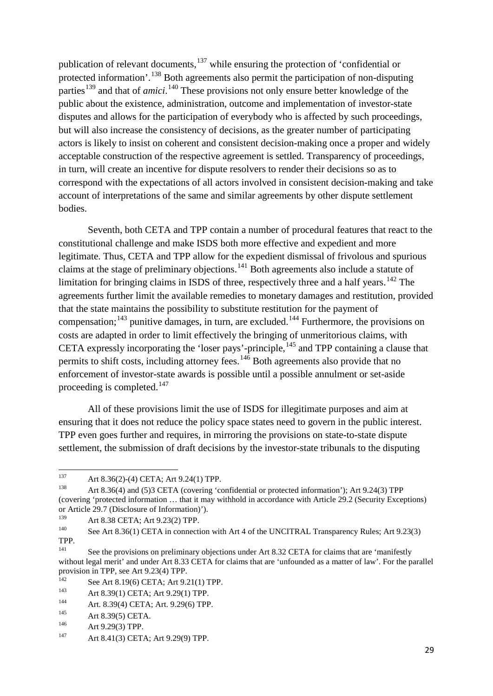publication of relevant documents, $137$  while ensuring the protection of 'confidential or protected information'.[138](#page-31-1) Both agreements also permit the participation of non-disputing parties<sup>[139](#page-31-2)</sup> and that of *amici*.<sup>[140](#page-31-3)</sup> These provisions not only ensure better knowledge of the public about the existence, administration, outcome and implementation of investor-state disputes and allows for the participation of everybody who is affected by such proceedings, but will also increase the consistency of decisions, as the greater number of participating actors is likely to insist on coherent and consistent decision-making once a proper and widely acceptable construction of the respective agreement is settled. Transparency of proceedings, in turn, will create an incentive for dispute resolvers to render their decisions so as to correspond with the expectations of all actors involved in consistent decision-making and take account of interpretations of the same and similar agreements by other dispute settlement bodies.

Seventh, both CETA and TPP contain a number of procedural features that react to the constitutional challenge and make ISDS both more effective and expedient and more legitimate. Thus, CETA and TPP allow for the expedient dismissal of frivolous and spurious claims at the stage of preliminary objections.<sup>[141](#page-31-4)</sup> Both agreements also include a statute of limitation for bringing claims in ISDS of three, respectively three and a half years.<sup>[142](#page-31-5)</sup> The agreements further limit the available remedies to monetary damages and restitution, provided that the state maintains the possibility to substitute restitution for the payment of compensation;<sup>[143](#page-31-6)</sup> punitive damages, in turn, are excluded.<sup>[144](#page-31-7)</sup> Furthermore, the provisions on costs are adapted in order to limit effectively the bringing of unmeritorious claims, with CETA expressly incorporating the 'loser pays'-principle,<sup>[145](#page-31-8)</sup> and TPP containing a clause that permits to shift costs, including attorney fees.<sup>[146](#page-31-9)</sup> Both agreements also provide that no enforcement of investor-state awards is possible until a possible annulment or set-aside proceeding is completed.<sup>[147](#page-31-10)</sup>

All of these provisions limit the use of ISDS for illegitimate purposes and aim at ensuring that it does not reduce the policy space states need to govern in the public interest. TPP even goes further and requires, in mirroring the provisions on state-to-state dispute settlement, the submission of draft decisions by the investor-state tribunals to the disputing

<span id="page-31-0"></span><sup>&</sup>lt;sup>137</sup> Art 8.36(2)-(4) CETA; Art 9.24(1) TPP.

<span id="page-31-1"></span>Art 8.36(4) and (5)3 CETA (covering 'confidential or protected information'); Art 9.24(3) TPP (covering 'protected information … that it may withhold in accordance with Article 29.2 (Security Exceptions) or Article 29.7 (Disclosure of Information)').<br> $^{139}$ 

<span id="page-31-2"></span><sup>&</sup>lt;sup>139</sup> Art 8.38 CETA; Art 9.23(2) TPP.<br><sup>140</sup> See Art 8.26(1) CETA in connection

<span id="page-31-3"></span>See Art 8.36(1) CETA in connection with Art 4 of the UNCITRAL Transparency Rules; Art 9.23(3) TPP.<br>141

<span id="page-31-4"></span>See the provisions on preliminary objections under Art 8.32 CETA for claims that are 'manifestly without legal merit' and under Art 8.33 CETA for claims that are 'unfounded as a matter of law'. For the parallel provision in TPP, see Art 9.23(4) TPP.<br> $^{142}$ 

<span id="page-31-5"></span><sup>&</sup>lt;sup>142</sup> See Art 8.19(6) CETA; Art 9.21(1) TPP.<br><sup>143</sup> Art 8.20(1) CETA: Art 9.20(1) TPP.

<span id="page-31-6"></span><sup>&</sup>lt;sup>143</sup> Art 8.39(1) CETA; Art 9.29(1) TPP.

<span id="page-31-7"></span><sup>&</sup>lt;sup>144</sup> Art. 8.39(4) CETA; Art. 9.29(6) TPP.

<span id="page-31-8"></span><sup>&</sup>lt;sup>145</sup> Art 8.39(5) CETA.

<span id="page-31-9"></span><sup>&</sup>lt;sup>146</sup> Art 9.29(3) TPP.<br>  $4\pi$  8.41(3) CET.

<span id="page-31-10"></span>Art 8.41(3) CETA; Art 9.29(9) TPP.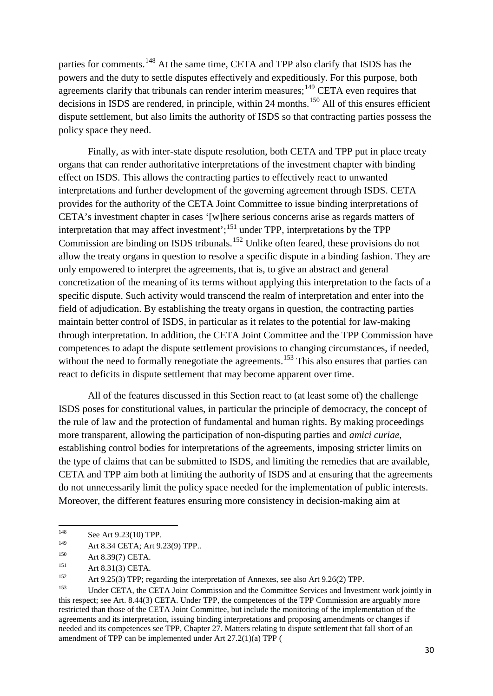parties for comments.<sup>[148](#page-32-0)</sup> At the same time, CETA and TPP also clarify that ISDS has the powers and the duty to settle disputes effectively and expeditiously. For this purpose, both agreements clarify that tribunals can render interim measures; <sup>[149](#page-32-1)</sup> CETA even requires that decisions in ISDS are rendered, in principle, within 24 months.<sup>[150](#page-32-2)</sup> All of this ensures efficient dispute settlement, but also limits the authority of ISDS so that contracting parties possess the policy space they need.

Finally, as with inter-state dispute resolution, both CETA and TPP put in place treaty organs that can render authoritative interpretations of the investment chapter with binding effect on ISDS. This allows the contracting parties to effectively react to unwanted interpretations and further development of the governing agreement through ISDS. CETA provides for the authority of the CETA Joint Committee to issue binding interpretations of CETA's investment chapter in cases '[w]here serious concerns arise as regards matters of interpretation that may affect investment';<sup>[151](#page-32-3)</sup> under TPP, interpretations by the TPP Commission are binding on ISDS tribunals.<sup>[152](#page-32-4)</sup> Unlike often feared, these provisions do not allow the treaty organs in question to resolve a specific dispute in a binding fashion. They are only empowered to interpret the agreements, that is, to give an abstract and general concretization of the meaning of its terms without applying this interpretation to the facts of a specific dispute. Such activity would transcend the realm of interpretation and enter into the field of adjudication. By establishing the treaty organs in question, the contracting parties maintain better control of ISDS, in particular as it relates to the potential for law-making through interpretation. In addition, the CETA Joint Committee and the TPP Commission have competences to adapt the dispute settlement provisions to changing circumstances, if needed, without the need to formally renegotiate the agreements.<sup>[153](#page-32-5)</sup> This also ensures that parties can react to deficits in dispute settlement that may become apparent over time.

All of the features discussed in this Section react to (at least some of) the challenge ISDS poses for constitutional values, in particular the principle of democracy, the concept of the rule of law and the protection of fundamental and human rights. By making proceedings more transparent, allowing the participation of non-disputing parties and *amici curiae*, establishing control bodies for interpretations of the agreements, imposing stricter limits on the type of claims that can be submitted to ISDS, and limiting the remedies that are available, CETA and TPP aim both at limiting the authority of ISDS and at ensuring that the agreements do not unnecessarily limit the policy space needed for the implementation of public interests. Moreover, the different features ensuring more consistency in decision-making aim at

<span id="page-32-0"></span><sup>&</sup>lt;sup>148</sup> See Art 9.23(10) TPP.

<span id="page-32-1"></span><sup>&</sup>lt;sup>149</sup> Art 8.34 CETA; Art 9.23(9) TPP..<br><sup>150</sup> Art 8.30(7) CETA

<span id="page-32-2"></span><sup>&</sup>lt;sup>150</sup> Art 8.39(7) CETA.

<span id="page-32-3"></span><sup>151</sup> Art 8.31(3) CETA.

<span id="page-32-4"></span><sup>&</sup>lt;sup>152</sup> Art 9.25(3) TPP; regarding the interpretation of Annexes, see also Art 9.26(2) TPP.

<span id="page-32-5"></span>Under CETA, the CETA Joint Commission and the Committee Services and Investment work jointly in this respect; see Art. 8.44(3) CETA. Under TPP, the competences of the TPP Commission are arguably more restricted than those of the CETA Joint Committee, but include the monitoring of the implementation of the agreements and its interpretation, issuing binding interpretations and proposing amendments or changes if needed and its competences see TPP, Chapter 27. Matters relating to dispute settlement that fall short of an amendment of TPP can be implemented under Art 27.2(1)(a) TPP (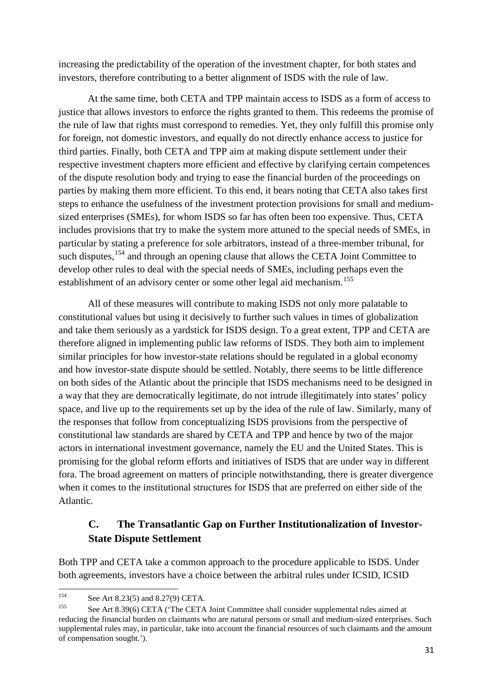increasing the predictability of the operation of the investment chapter, for both states and investors, therefore contributing to a better alignment of ISDS with the rule of law.

At the same time, both CETA and TPP maintain access to ISDS as a form of access to justice that allows investors to enforce the rights granted to them. This redeems the promise of the rule of law that rights must correspond to remedies. Yet, they only fulfill this promise only for foreign, not domestic investors, and equally do not directly enhance access to justice for third parties. Finally, both CETA and TPP aim at making dispute settlement under their respective investment chapters more efficient and effective by clarifying certain competences of the dispute resolution body and trying to ease the financial burden of the proceedings on parties by making them more efficient. To this end, it bears noting that CETA also takes first steps to enhance the usefulness of the investment protection provisions for small and mediumsized enterprises (SMEs), for whom ISDS so far has often been too expensive. Thus, CETA includes provisions that try to make the system more attuned to the special needs of SMEs, in particular by stating a preference for sole arbitrators, instead of a three-member tribunal, for such disputes, <sup>[154](#page-33-0)</sup> and through an opening clause that allows the CETA Joint Committee to develop other rules to deal with the special needs of SMEs, including perhaps even the establishment of an advisory center or some other legal aid mechanism.<sup>[155](#page-33-1)</sup>

All of these measures will contribute to making ISDS not only more palatable to constitutional values but using it decisively to further such values in times of globalization and take them seriously as a yardstick for ISDS design. To a great extent, TPP and CETA are therefore aligned in implementing public law reforms of ISDS. They both aim to implement similar principles for how investor-state relations should be regulated in a global economy and how investor-state dispute should be settled. Notably, there seems to be little difference on both sides of the Atlantic about the principle that ISDS mechanisms need to be designed in a way that they are democratically legitimate, do not intrude illegitimately into states' policy space, and live up to the requirements set up by the idea of the rule of law. Similarly, many of the responses that follow from conceptualizing ISDS provisions from the perspective of constitutional law standards are shared by CETA and TPP and hence by two of the major actors in international investment governance, namely the EU and the United States. This is promising for the global reform efforts and initiatives of ISDS that are under way in different fora. The broad agreement on matters of principle notwithstanding, there is greater divergence when it comes to the institutional structures for ISDS that are preferred on either side of the Atlantic.

### **C. The Transatlantic Gap on Further Institutionalization of Investor-State Dispute Settlement**

Both TPP and CETA take a common approach to the procedure applicable to ISDS. Under both agreements, investors have a choice between the arbitral rules under ICSID, ICSID

<span id="page-33-0"></span><sup>&</sup>lt;sup>154</sup> See Art 8.23(5) and 8.27(9) CETA.

<span id="page-33-1"></span>See Art 8.39(6) CETA ('The CETA Joint Committee shall consider supplemental rules aimed at reducing the financial burden on claimants who are natural persons or small and medium-sized enterprises. Such supplemental rules may, in particular, take into account the financial resources of such claimants and the amount of compensation sought.').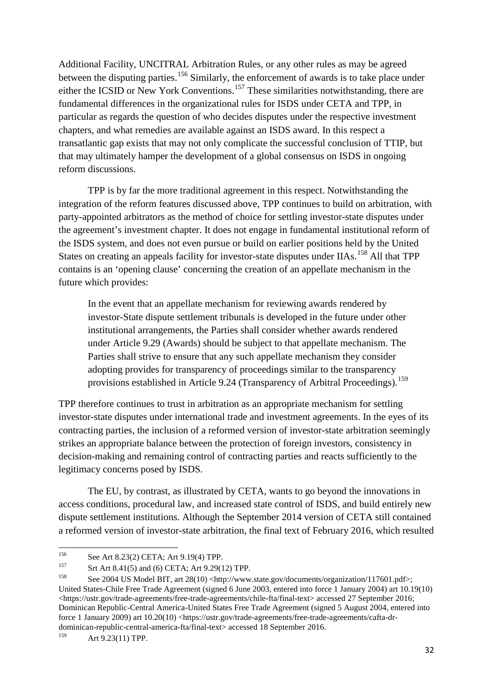Additional Facility, UNCITRAL Arbitration Rules, or any other rules as may be agreed between the disputing parties.<sup>[156](#page-34-0)</sup> Similarly, the enforcement of awards is to take place under either the ICSID or New York Conventions.<sup>[157](#page-34-1)</sup> These similarities notwithstanding, there are fundamental differences in the organizational rules for ISDS under CETA and TPP, in particular as regards the question of who decides disputes under the respective investment chapters, and what remedies are available against an ISDS award. In this respect a transatlantic gap exists that may not only complicate the successful conclusion of TTIP, but that may ultimately hamper the development of a global consensus on ISDS in ongoing reform discussions.

TPP is by far the more traditional agreement in this respect. Notwithstanding the integration of the reform features discussed above, TPP continues to build on arbitration, with party-appointed arbitrators as the method of choice for settling investor-state disputes under the agreement's investment chapter. It does not engage in fundamental institutional reform of the ISDS system, and does not even pursue or build on earlier positions held by the United States on creating an appeals facility for investor-state disputes under IIAs.<sup>[158](#page-34-2)</sup> All that TPP contains is an 'opening clause' concerning the creation of an appellate mechanism in the future which provides:

In the event that an appellate mechanism for reviewing awards rendered by investor-State dispute settlement tribunals is developed in the future under other institutional arrangements, the Parties shall consider whether awards rendered under Article 9.29 (Awards) should be subject to that appellate mechanism. The Parties shall strive to ensure that any such appellate mechanism they consider adopting provides for transparency of proceedings similar to the transparency provisions established in Article 9.24 (Transparency of Arbitral Proceedings).<sup>[159](#page-34-3)</sup>

TPP therefore continues to trust in arbitration as an appropriate mechanism for settling investor-state disputes under international trade and investment agreements. In the eyes of its contracting parties, the inclusion of a reformed version of investor-state arbitration seemingly strikes an appropriate balance between the protection of foreign investors, consistency in decision-making and remaining control of contracting parties and reacts sufficiently to the legitimacy concerns posed by ISDS.

The EU, by contrast, as illustrated by CETA, wants to go beyond the innovations in access conditions, procedural law, and increased state control of ISDS, and build entirely new dispute settlement institutions. Although the September 2014 version of CETA still contained a reformed version of investor-state arbitration, the final text of February 2016, which resulted

<span id="page-34-0"></span> $^{156}$  See Art 8.23(2) CETA; Art 9.19(4) TPP.

<span id="page-34-1"></span><sup>&</sup>lt;sup>157</sup> Srt Art 8.41(5) and (6) CETA; Art 9.29(12) TPP.

<span id="page-34-2"></span>See 2004 US Model BIT, art 28(10) <http://www.state.gov/documents/organization/117601.pdf>; United States-Chile Free Trade Agreement (signed 6 June 2003, entered into force 1 January 2004) art 10.19(10) <https://ustr.gov/trade-agreements/free-trade-agreements/chile-fta/final-text> accessed 27 September 2016; Dominican Republic-Central America-United States Free Trade Agreement (signed 5 August 2004, entered into force 1 January 2009) art 10.20(10) <https://ustr.gov/trade-agreements/free-trade-agreements/cafta-drdominican-republic-central-america-fta/final-text> accessed 18 September 2016.<br><sup>159</sup>  $A \neq 0.23(11)$  TDD

<span id="page-34-3"></span>Art 9.23(11) TPP.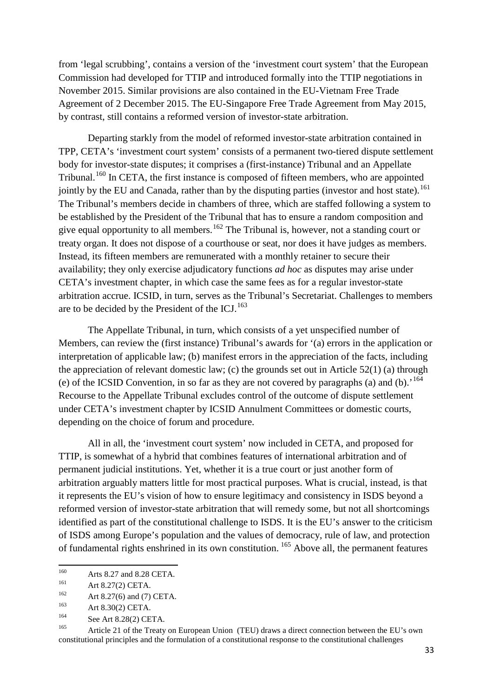from 'legal scrubbing', contains a version of the 'investment court system' that the European Commission had developed for TTIP and introduced formally into the TTIP negotiations in November 2015. Similar provisions are also contained in the EU-Vietnam Free Trade Agreement of 2 December 2015. The EU-Singapore Free Trade Agreement from May 2015, by contrast, still contains a reformed version of investor-state arbitration.

Departing starkly from the model of reformed investor-state arbitration contained in TPP, CETA's 'investment court system' consists of a permanent two-tiered dispute settlement body for investor-state disputes; it comprises a (first-instance) Tribunal and an Appellate Tribunal.<sup>[160](#page-35-0)</sup> In CETA, the first instance is composed of fifteen members, who are appointed jointly by the EU and Canada, rather than by the disputing parties (investor and host state). <sup>[161](#page-35-1)</sup> The Tribunal's members decide in chambers of three, which are staffed following a system to be established by the President of the Tribunal that has to ensure a random composition and give equal opportunity to all members.<sup>[162](#page-35-2)</sup> The Tribunal is, however, not a standing court or treaty organ. It does not dispose of a courthouse or seat, nor does it have judges as members. Instead, its fifteen members are remunerated with a monthly retainer to secure their availability; they only exercise adjudicatory functions *ad hoc* as disputes may arise under CETA's investment chapter, in which case the same fees as for a regular investor-state arbitration accrue. ICSID, in turn, serves as the Tribunal's Secretariat. Challenges to members are to be decided by the President of the ICJ. $^{163}$  $^{163}$  $^{163}$ 

The Appellate Tribunal, in turn, which consists of a yet unspecified number of Members, can review the (first instance) Tribunal's awards for '(a) errors in the application or interpretation of applicable law; (b) manifest errors in the appreciation of the facts, including the appreciation of relevant domestic law; (c) the grounds set out in Article 52(1) (a) through (e) of the ICSID Convention, in so far as they are not covered by paragraphs (a) and (b).<sup>'[164](#page-35-4)</sup> Recourse to the Appellate Tribunal excludes control of the outcome of dispute settlement under CETA's investment chapter by ICSID Annulment Committees or domestic courts, depending on the choice of forum and procedure.

All in all, the 'investment court system' now included in CETA, and proposed for TTIP, is somewhat of a hybrid that combines features of international arbitration and of permanent judicial institutions. Yet, whether it is a true court or just another form of arbitration arguably matters little for most practical purposes. What is crucial, instead, is that it represents the EU's vision of how to ensure legitimacy and consistency in ISDS beyond a reformed version of investor-state arbitration that will remedy some, but not all shortcomings identified as part of the constitutional challenge to ISDS. It is the EU's answer to the criticism of ISDS among Europe's population and the values of democracy, rule of law, and protection of fundamental rights enshrined in its own constitution. [165](#page-35-5) Above all, the permanent features

<span id="page-35-0"></span><sup>&</sup>lt;sup>160</sup> Arts 8.27 and 8.28 CETA.<br><sup>161</sup>  $A_{rr}$  8.27(2) CETA

<span id="page-35-1"></span><sup>&</sup>lt;sup>161</sup> Art 8.27(2) CETA.

<span id="page-35-2"></span><sup>162</sup> Art 8.27(6) and (7) CETA.

<span id="page-35-3"></span><sup>163</sup> Art 8.30(2) CETA.

<span id="page-35-4"></span> $164$  See Art 8.28(2) CETA.

<span id="page-35-5"></span>Article 21 of the Treaty on European Union (TEU) draws a direct connection between the EU's own constitutional principles and the formulation of a constitutional response to the constitutional challenges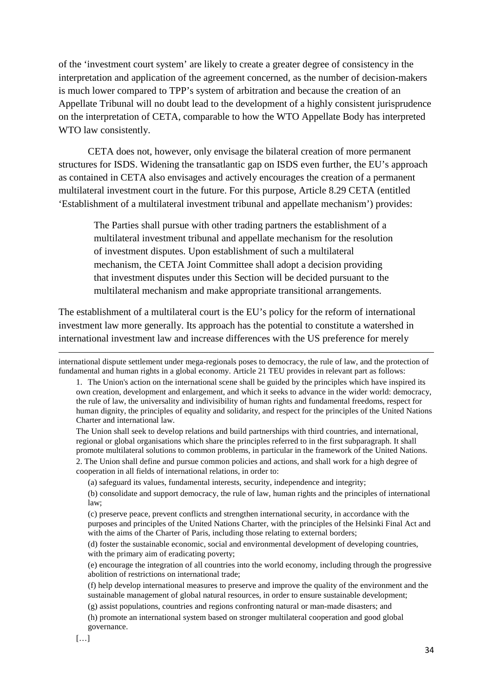of the 'investment court system' are likely to create a greater degree of consistency in the interpretation and application of the agreement concerned, as the number of decision-makers is much lower compared to TPP's system of arbitration and because the creation of an Appellate Tribunal will no doubt lead to the development of a highly consistent jurisprudence on the interpretation of CETA, comparable to how the WTO Appellate Body has interpreted WTO law consistently.

CETA does not, however, only envisage the bilateral creation of more permanent structures for ISDS. Widening the transatlantic gap on ISDS even further, the EU's approach as contained in CETA also envisages and actively encourages the creation of a permanent multilateral investment court in the future. For this purpose, Article 8.29 CETA (entitled 'Establishment of a multilateral investment tribunal and appellate mechanism') provides:

The Parties shall pursue with other trading partners the establishment of a multilateral investment tribunal and appellate mechanism for the resolution of investment disputes. Upon establishment of such a multilateral mechanism, the CETA Joint Committee shall adopt a decision providing that investment disputes under this Section will be decided pursuant to the multilateral mechanism and make appropriate transitional arrangements.

The establishment of a multilateral court is the EU's policy for the reform of international investment law more generally. Its approach has the potential to constitute a watershed in international investment law and increase differences with the US preference for merely

The Union shall seek to develop relations and build partnerships with third countries, and international, regional or global organisations which share the principles referred to in the first subparagraph. It shall promote multilateral solutions to common problems, in particular in the framework of the United Nations.

2. The Union shall define and pursue common policies and actions, and shall work for a high degree of cooperation in all fields of international relations, in order to:

(a) safeguard its values, fundamental interests, security, independence and integrity;

 $\overline{\phantom{a}}$ 

international dispute settlement under mega-regionals poses to democracy, the rule of law, and the protection of fundamental and human rights in a global economy. Article 21 TEU provides in relevant part as follows:

<sup>1.</sup> The Union's action on the international scene shall be guided by the principles which have inspired its own creation, development and enlargement, and which it seeks to advance in the wider world: democracy, the rule of law, the universality and indivisibility of human rights and fundamental freedoms, respect for human dignity, the principles of equality and solidarity, and respect for the principles of the United Nations Charter and international law.

<sup>(</sup>b) consolidate and support democracy, the rule of law, human rights and the principles of international law;

<sup>(</sup>c) preserve peace, prevent conflicts and strengthen international security, in accordance with the purposes and principles of the United Nations Charter, with the principles of the Helsinki Final Act and with the aims of the Charter of Paris, including those relating to external borders;

<sup>(</sup>d) foster the sustainable economic, social and environmental development of developing countries, with the primary aim of eradicating poverty;

<sup>(</sup>e) encourage the integration of all countries into the world economy, including through the progressive abolition of restrictions on international trade;

<sup>(</sup>f) help develop international measures to preserve and improve the quality of the environment and the sustainable management of global natural resources, in order to ensure sustainable development;

<sup>(</sup>g) assist populations, countries and regions confronting natural or man-made disasters; and

<sup>(</sup>h) promote an international system based on stronger multilateral cooperation and good global governance.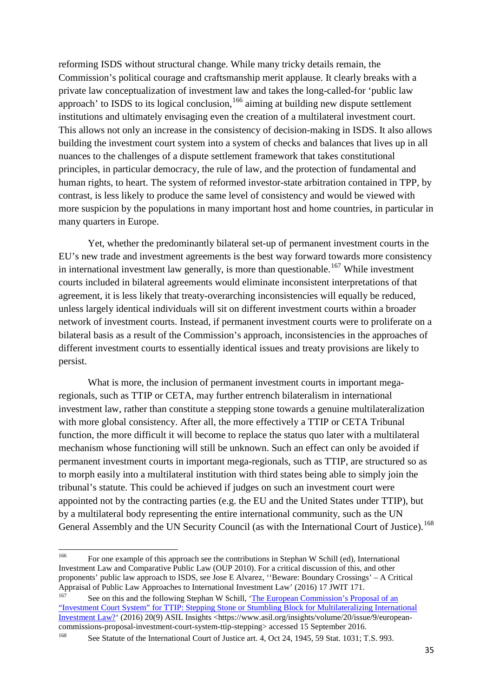reforming ISDS without structural change. While many tricky details remain, the Commission's political courage and craftsmanship merit applause. It clearly breaks with a private law conceptualization of investment law and takes the long-called-for 'public law approach' to ISDS to its logical conclusion,  $166$  aiming at building new dispute settlement institutions and ultimately envisaging even the creation of a multilateral investment court. This allows not only an increase in the consistency of decision-making in ISDS. It also allows building the investment court system into a system of checks and balances that lives up in all nuances to the challenges of a dispute settlement framework that takes constitutional principles, in particular democracy, the rule of law, and the protection of fundamental and human rights, to heart. The system of reformed investor-state arbitration contained in TPP, by contrast, is less likely to produce the same level of consistency and would be viewed with more suspicion by the populations in many important host and home countries, in particular in many quarters in Europe.

Yet, whether the predominantly bilateral set-up of permanent investment courts in the EU's new trade and investment agreements is the best way forward towards more consistency in international investment law generally, is more than questionable.<sup>[167](#page-37-1)</sup> While investment courts included in bilateral agreements would eliminate inconsistent interpretations of that agreement, it is less likely that treaty-overarching inconsistencies will equally be reduced, unless largely identical individuals will sit on different investment courts within a broader network of investment courts. Instead, if permanent investment courts were to proliferate on a bilateral basis as a result of the Commission's approach, inconsistencies in the approaches of different investment courts to essentially identical issues and treaty provisions are likely to persist.

What is more, the inclusion of permanent investment courts in important megaregionals, such as TTIP or CETA, may further entrench bilateralism in international investment law, rather than constitute a stepping stone towards a genuine multilateralization with more global consistency. After all, the more effectively a TTIP or CETA Tribunal function, the more difficult it will become to replace the status quo later with a multilateral mechanism whose functioning will still be unknown. Such an effect can only be avoided if permanent investment courts in important mega-regionals, such as TTIP, are structured so as to morph easily into a multilateral institution with third states being able to simply join the tribunal's statute. This could be achieved if judges on such an investment court were appointed not by the contracting parties (e.g. the EU and the United States under TTIP), but by a multilateral body representing the entire international community, such as the UN General Assembly and the UN Security Council (as with the International Court of Justice).<sup>[168](#page-37-2)</sup>

<span id="page-37-0"></span><sup>&</sup>lt;sup>166</sup> For one example of this approach see the contributions in Stephan W Schill (ed), International Investment Law and Comparative Public Law (OUP 2010). For a critical discussion of this, and other proponents' public law approach to ISDS, see Jose E Alvarez, ''Beware: Boundary Crossings' – A Critical Appraisal of Public Law Approaches to International Investment Law' (2016) 17 JWIT 171.

<span id="page-37-1"></span>See on this and the following Stephan W Schill, 'The European Commission's Proposal of an ["Investment Court System" for TTIP: Stepping Stone or Stumbling Block for Multilateralizing International](https://www.asil.org/insights/volume/20/issue/9/european-commissions-proposal-investment-court-system-ttip-stepping)  [Investment Law?'](https://www.asil.org/insights/volume/20/issue/9/european-commissions-proposal-investment-court-system-ttip-stepping) (2016) 20(9) ASIL Insights <https://www.asil.org/insights/volume/20/issue/9/europeancommissions-proposal-investment-court-system-ttip-stepping> accessed 15 September 2016.<br><sup>168</sup>

<span id="page-37-2"></span>See Statute of the International Court of Justice art. 4, Oct 24, 1945, 59 Stat. 1031; T.S. 993.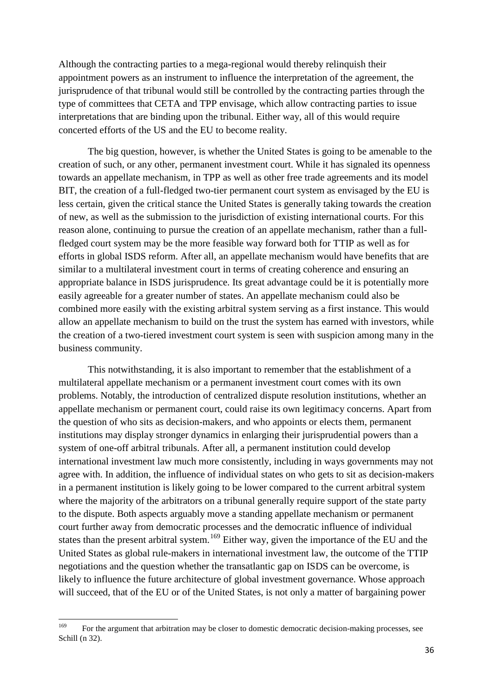Although the contracting parties to a mega-regional would thereby relinquish their appointment powers as an instrument to influence the interpretation of the agreement, the jurisprudence of that tribunal would still be controlled by the contracting parties through the type of committees that CETA and TPP envisage, which allow contracting parties to issue interpretations that are binding upon the tribunal. Either way, all of this would require concerted efforts of the US and the EU to become reality.

The big question, however, is whether the United States is going to be amenable to the creation of such, or any other, permanent investment court. While it has signaled its openness towards an appellate mechanism, in TPP as well as other free trade agreements and its model BIT, the creation of a full-fledged two-tier permanent court system as envisaged by the EU is less certain, given the critical stance the United States is generally taking towards the creation of new, as well as the submission to the jurisdiction of existing international courts. For this reason alone, continuing to pursue the creation of an appellate mechanism, rather than a fullfledged court system may be the more feasible way forward both for TTIP as well as for efforts in global ISDS reform. After all, an appellate mechanism would have benefits that are similar to a multilateral investment court in terms of creating coherence and ensuring an appropriate balance in ISDS jurisprudence. Its great advantage could be it is potentially more easily agreeable for a greater number of states. An appellate mechanism could also be combined more easily with the existing arbitral system serving as a first instance. This would allow an appellate mechanism to build on the trust the system has earned with investors, while the creation of a two-tiered investment court system is seen with suspicion among many in the business community.

This notwithstanding, it is also important to remember that the establishment of a multilateral appellate mechanism or a permanent investment court comes with its own problems. Notably, the introduction of centralized dispute resolution institutions, whether an appellate mechanism or permanent court, could raise its own legitimacy concerns. Apart from the question of who sits as decision-makers, and who appoints or elects them, permanent institutions may display stronger dynamics in enlarging their jurisprudential powers than a system of one-off arbitral tribunals. After all, a permanent institution could develop international investment law much more consistently, including in ways governments may not agree with. In addition, the influence of individual states on who gets to sit as decision-makers in a permanent institution is likely going to be lower compared to the current arbitral system where the majority of the arbitrators on a tribunal generally require support of the state party to the dispute. Both aspects arguably move a standing appellate mechanism or permanent court further away from democratic processes and the democratic influence of individual states than the present arbitral system.<sup>[169](#page-38-0)</sup> Either way, given the importance of the EU and the United States as global rule-makers in international investment law, the outcome of the TTIP negotiations and the question whether the transatlantic gap on ISDS can be overcome, is likely to influence the future architecture of global investment governance. Whose approach will succeed, that of the EU or of the United States, is not only a matter of bargaining power

<span id="page-38-0"></span><sup>&</sup>lt;sup>169</sup> For the argument that arbitration may be closer to domestic democratic decision-making processes, see Schill (n 32).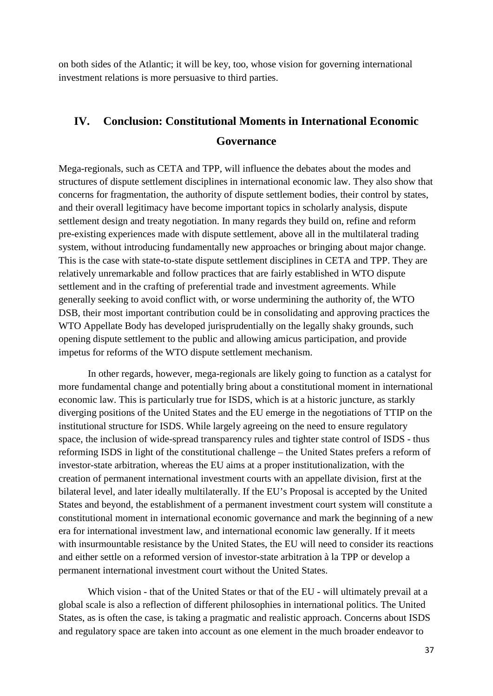on both sides of the Atlantic; it will be key, too, whose vision for governing international investment relations is more persuasive to third parties.

## **IV. Conclusion: Constitutional Moments in International Economic Governance**

Mega-regionals, such as CETA and TPP, will influence the debates about the modes and structures of dispute settlement disciplines in international economic law. They also show that concerns for fragmentation, the authority of dispute settlement bodies, their control by states, and their overall legitimacy have become important topics in scholarly analysis, dispute settlement design and treaty negotiation. In many regards they build on, refine and reform pre-existing experiences made with dispute settlement, above all in the multilateral trading system, without introducing fundamentally new approaches or bringing about major change. This is the case with state-to-state dispute settlement disciplines in CETA and TPP. They are relatively unremarkable and follow practices that are fairly established in WTO dispute settlement and in the crafting of preferential trade and investment agreements. While generally seeking to avoid conflict with, or worse undermining the authority of, the WTO DSB, their most important contribution could be in consolidating and approving practices the WTO Appellate Body has developed jurisprudentially on the legally shaky grounds, such opening dispute settlement to the public and allowing amicus participation, and provide impetus for reforms of the WTO dispute settlement mechanism.

In other regards, however, mega-regionals are likely going to function as a catalyst for more fundamental change and potentially bring about a constitutional moment in international economic law. This is particularly true for ISDS, which is at a historic juncture, as starkly diverging positions of the United States and the EU emerge in the negotiations of TTIP on the institutional structure for ISDS. While largely agreeing on the need to ensure regulatory space, the inclusion of wide-spread transparency rules and tighter state control of ISDS - thus reforming ISDS in light of the constitutional challenge – the United States prefers a reform of investor-state arbitration, whereas the EU aims at a proper institutionalization, with the creation of permanent international investment courts with an appellate division, first at the bilateral level, and later ideally multilaterally. If the EU's Proposal is accepted by the United States and beyond, the establishment of a permanent investment court system will constitute a constitutional moment in international economic governance and mark the beginning of a new era for international investment law, and international economic law generally. If it meets with insurmountable resistance by the United States, the EU will need to consider its reactions and either settle on a reformed version of investor-state arbitration à la TPP or develop a permanent international investment court without the United States.

Which vision - that of the United States or that of the EU - will ultimately prevail at a global scale is also a reflection of different philosophies in international politics. The United States, as is often the case, is taking a pragmatic and realistic approach. Concerns about ISDS and regulatory space are taken into account as one element in the much broader endeavor to